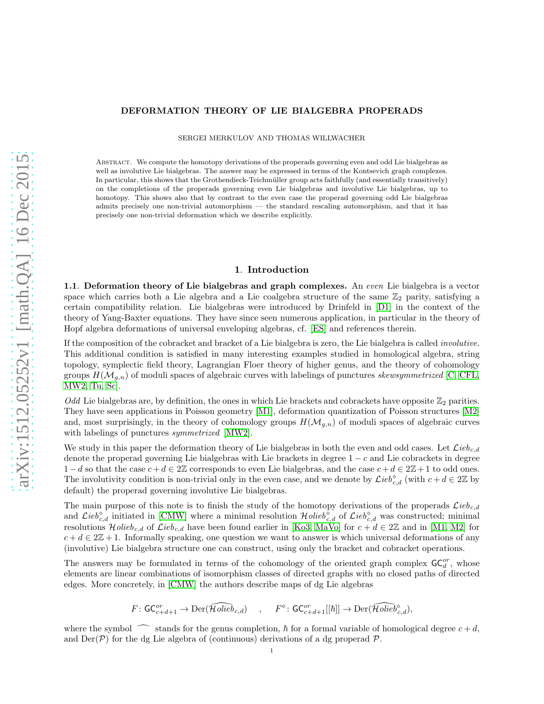### DEFORMATION THEORY OF LIE BIALGEBRA PROPERADS

SERGEI MERKULOV AND THOMAS WILLWACHER

Abstract. We compute the homotopy derivations of the properads governing even and odd Lie bialgebras as well as involutive Lie bialgebras. The answer may be expressed in terms of the Kontsevich graph complexes. In particular, this shows that the Grothendieck-Teichmüller group acts faithfully (and essentially transitively) on the completions of the properads governing even Lie bialgebras and involutive Lie bialgebras, up to homotopy. This shows also that by contrast to the even case the properad governing odd Lie bialgebras admits precisely one non-trivial automorphism — the standard rescaling automorphism, and that it has precisely one non-trivial deformation which we describe explicitly.

### 1. Introduction

**1.1.** Deformation theory of Lie bialgebras and graph complexes. An even Lie bialgebra is a vector space which carries both a Lie algebra and a Lie coalgebra structure of the same  $\mathbb{Z}_2$  parity, satisfying a certain compatibility relation. Lie bialgebras were introduced by Drinfeld in [\[D1\]](#page-17-0) in the context of the theory of Yang-Baxter equations. They have since seen numerous application, in particular in the theory of Hopf algebra deformations of universal enveloping algebras, cf. [\[ES\]](#page-17-1) and references therein.

If the composition of the cobracket and bracket of a Lie bialgebra is zero, the Lie bialgebra is called involutive. This additional condition is satisfied in many interesting examples studied in homological algebra, string topology, symplectic field theory, Lagrangian Floer theory of higher genus, and the theory of cohomology groups  $H(\mathcal{M}_{g,n})$  of moduli spaces of algebraic curves with labelings of punctures skewsymmetrized [\[C,](#page-17-2) [CFL,](#page-17-3) [MW2,](#page-18-0) [Tu,](#page-18-1) [Sc\]](#page-18-2).

Odd Lie bialgebras are, by definition, the ones in which Lie brackets and cobrackets have opposite  $\mathbb{Z}_2$  parities. They have seen applications in Poisson geometry [\[M1\]](#page-17-4), deformation quantization of Poisson structures [\[M2\]](#page-17-5) and, most surprisingly, in the theory of cohomology groups  $H(\mathcal{M}_{g,n})$  of moduli spaces of algebraic curves with labelings of punctures *symmetrized* [\[MW2\]](#page-18-0).

We study in this paper the deformation theory of Lie bialgebras in both the even and odd cases. Let  $\mathcal{L}ieb_{c,d}$ denote the properad governing Lie bialgebras with Lie brackets in degree  $1 - c$  and Lie cobrackets in degree  $1-d$  so that the case  $c+d \in 2\mathbb{Z}$  corresponds to even Lie bialgebras, and the case  $c+d \in 2\mathbb{Z}+1$  to odd ones. The involutivity condition is non-trivial only in the even case, and we denote by  $\mathcal{L}ieb_{c,d}^{\diamond}$  (with  $c + d \in 2\mathbb{Z}$  by default) the properad governing involutive Lie bialgebras.

The main purpose of this note is to finish the study of the homotopy derivations of the properads  $\mathcal{L}ie_{c,d}$ and  $\mathcal{L}ieb_{c,d}^{\diamond}$  initiated in [\[CMW\]](#page-17-6) where a minimal resolution  $\mathcal{H}olie b_{c,d}^{\diamond}$  of  $\mathcal{L}ie b_{c,d}^{\diamond}$  was constructed; minimal resolutions  $Holieb_{c,d}$  of  $Lieb_{c,d}$  have been found earlier in [\[Ko3,](#page-17-7) [MaVo\]](#page-17-8) for  $c + d \in 2\mathbb{Z}$  and in [\[M1,](#page-17-4) [M2\]](#page-17-5) for  $c + d \in 2\mathbb{Z} + 1$ . Informally speaking, one question we want to answer is which universal deformations of any (involutive) Lie bialgebra structure one can construct, using only the bracket and cobracket operations.

The answers may be formulated in terms of the cohomology of the oriented graph complex  $\mathsf{GC}_{d}^{or}$ , whose elements are linear combinations of isomorphism classes of directed graphs with no closed paths of directed edges. More concretely, in [\[CMW\]](#page-17-6) the authors describe maps of dg Lie algebras

$$
F\colon \mathsf{GC}_{c+d+1}^{or}\to \mathrm{Der}(\widehat{\mathcal{H}\mathit{olieb}}_{c,d})\quad \, ,\quad \ F^\diamond\colon \mathsf{GC}_{c+d+1}^{or}[[\hbar]]\to \mathrm{Der}(\widehat{\mathcal{H}\mathit{olieb}}_{c,d}^\diamond),
$$

where the symbol  $\frown$  stands for the genus completion,  $\hbar$  for a formal variable of homological degree  $c + d$ , and  $\text{Der}(\mathcal{P})$  for the dg Lie algebra of (continuous) derivations of a dg properad  $\mathcal{P}$ .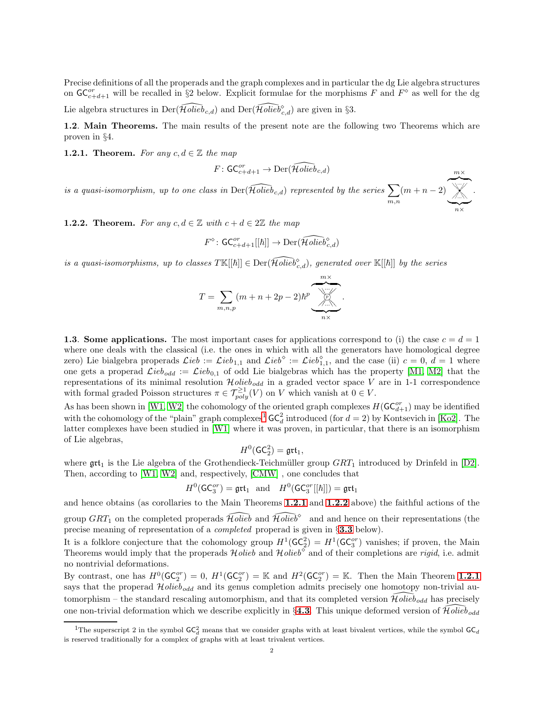Precise definitions of all the properads and the graph complexes and in particular the dg Lie algebra structures on  $\mathsf{GC}_{c+d+1}^{or}$  will be recalled in §2 below. Explicit formulae for the morphisms F and  $F^{\diamond}$  as well for the dg Lie algebra structures in  $\text{Der}(\widehat{Holieb}_{c,d})$  and  $\text{Der}(\widehat{Holieb}^{\diamond}_{c,d})$  are given in §3.

1.2. Main Theorems. The main results of the present note are the following two Theorems which are proven in §4.

<span id="page-1-1"></span>**1.2.1. Theorem.** For any  $c, d \in \mathbb{Z}$  the map

$$
F\colon \mathsf{GC}_{c+d+1}^{or}\to \mathrm{Der}(\widehat{\mathcal{H}\mathit{olieb}}_{c,d})
$$

 $m\times$ 

is a quasi-isomorphism, up to one class in  $\widehat{\text{Der}(\mathcal{H}\text{olieb}_{c,d})}$  represented by the series  $\sum$ m,n  $(m+n-2)$  $\overline{\phantom{a}}\hspace{0.1cm}$ ... • ❄❄❄❄ ✷ ✷ ✷☞ ☞ ☞ ⑧⑧⑧⑧ ☞ ☞ ☞ ✷ ✷ ✷ ❄ ❄ ❄ ❄ ⑧ ⑧ ⑧ ⑧  $\sum_{n \times}$ .

<span id="page-1-2"></span>**1.2.2. Theorem.** For any  $c, d \in \mathbb{Z}$  with  $c + d \in 2\mathbb{Z}$  the map

$$
F^{\diamond} \colon \mathsf{GC}_{c+d+1}^{or}[[\hbar]] \to \mathrm{Der}(\widehat{\mathcal{H}\mathit{olieb}}_{c,d}^{\diamond})
$$

is a quasi-isomorphisms, up to classes  $T\mathbb{K}[[\hbar]] \in \mathrm{Der}(\widehat{\mathcal{H}\mathit{olieb}}_{c,d}^{\diamond}),$  generated over  $\mathbb{K}[[\hbar]]$  by the series

$$
T = \sum_{m,n,p} (m+n+2p-2)\hbar^p \underbrace{\underbrace{\qquad \qquad }_{m \times}}_{n \times}.
$$

1.3. Some applications. The most important cases for applications correspond to (i) the case  $c = d = 1$ where one deals with the classical (i.e. the ones in which with all the generators have homological degree zero) Lie bialgebra properads  $\mathcal{L}ieb := \mathcal{L}ieb_{1,1}$  and  $\mathcal{L}ieb^{\diamond} := \mathcal{L}ieb_{1,1}^{\diamond}$ , and the case (ii)  $c = 0, d = 1$  where one gets a properad  $\mathcal{L}ieb_{odd} := \mathcal{L}ieb_{0,1}$  of odd Lie bialgebras which has the property [\[M1,](#page-17-4) [M2\]](#page-17-5) that the representations of its minimal resolution  $\mathcal{H}olieb_{odd}$  in a graded vector space V are in 1-1 correspondence with formal graded Poisson structures  $\pi \in \mathcal{T}_{poly}^{\geq 1}(V)$  on V which vanish at  $0 \in V$ .

As has been shown in [\[W1,](#page-18-3) [W2\]](#page-18-4) the cohomology of the oriented graph complexes  $H(\mathsf{GC}_{d+1}^{or})$  may be identified with the cohomology of the "plain" graph complexes<sup>[1](#page-1-0)</sup>  $GC_d^2$  introduced (for  $d = 2$ ) by Kontsevich in [\[Ko2\]](#page-17-9). The latter complexes have been studied in [\[W1\]](#page-18-3) where it was proven, in particular, that there is an isomorphism of Lie algebras,

$$
H^0(\mathsf{GC}_2^2)=\mathfrak{grt}_1,
$$

where  $\text{grt}_1$  is the Lie algebra of the Grothendieck-Teichmüller group  $GRT_1$  introduced by Drinfeld in [\[D2\]](#page-17-10). Then, according to [\[W1,](#page-18-3) [W2\]](#page-18-4) and, respectively, [\[CMW\]](#page-17-6) , one concludes that

$$
H^0(\mathsf{GC}_3^{or}) = \mathfrak{grt}_1 \quad \text{and} \quad H^0(\mathsf{GC}_3^{or}[[\hbar]]) = \mathfrak{grt}_1
$$

and hence obtains (as corollaries to the Main Theorems [1.2.1](#page-1-1) and [1.2.2](#page-1-2) above) the faithful actions of the group  $GRT_1$  on the completed properads  $\widehat{Holeb}$  and  $\widehat{Holeb}^\diamond$  and and hence on their representations (the precise meaning of representation of a completed properad is given in §[3.3](#page-9-0) below).

It is a folklore conjecture that the cohomology group  $H^1(\mathsf{GC}_2^2) = H^1(\mathsf{GC}_3^{or})$  vanishes; if proven, the Main Theorems would imply that the properads  $Holieb$  and  $Holieb^{\circ}$  and of their completions are rigid, i.e. admit no nontrivial deformations.

By contrast, one has  $H^0(\mathsf{GC}_2^{or}) = 0$ ,  $H^1(\mathsf{GC}_2^{or}) = \mathbb{K}$  and  $H^2(\mathsf{GC}_2^{or}) = \mathbb{K}$ . Then the Main Theorem [1.2.1](#page-1-1) says that the properad  $Holieb_{odd}$  and its genus completion admits precisely one homotopy non-trivial automorphism – the standard rescaling automorphism, and that its completed version  $\widehat{Holeb}_{odd}$  has precisely one non-trivial deformation which we describe explicitly in §[4.3](#page-15-0). This unique deformed version of  $\tilde{\mathcal{H}}\text{olieb}_{odd}$ 

<span id="page-1-0"></span><sup>&</sup>lt;sup>1</sup>The superscript 2 in the symbol  $GC_d^2$  means that we consider graphs with at least bivalent vertices, while the symbol  $GC_d$ is reserved traditionally for a complex of graphs with at least trivalent vertices.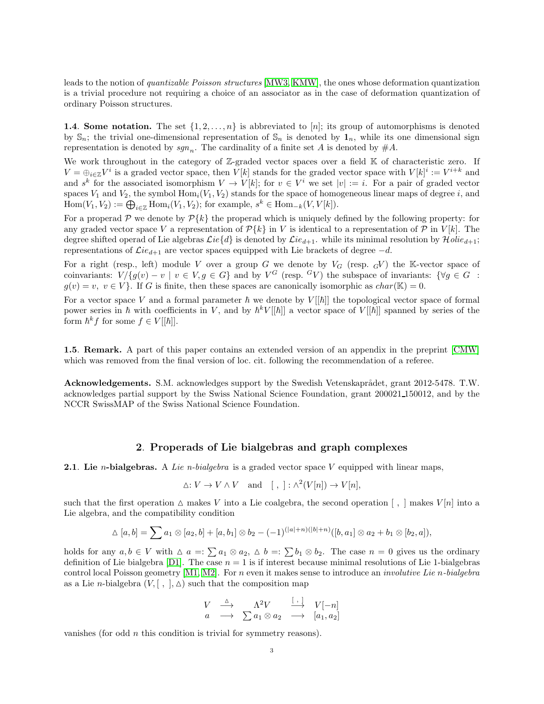leads to the notion of quantizable Poisson structures [\[MW3,](#page-18-5) [KMW\]](#page-17-11), the ones whose deformation quantization is a trivial procedure not requiring a choice of an associator as in the case of deformation quantization of ordinary Poisson structures.

**1.4. Some notation.** The set  $\{1, 2, \ldots, n\}$  is abbreviated to [n]; its group of automorphisms is denoted by  $\mathbb{S}_n$ ; the trivial one-dimensional representation of  $\mathbb{S}_n$  is denoted by  $\mathbf{1}_n$ , while its one dimensional sign representation is denoted by  $sgn_n$ . The cardinality of a finite set A is denoted by  $\#A$ .

We work throughout in the category of Z-graded vector spaces over a field  $\mathbb K$  of characteristic zero. If  $V = \bigoplus_{i \in \mathbb{Z}} V^i$  is a graded vector space, then  $V[k]$  stands for the graded vector space with  $V[k]^i := V^{i+k}$  and and s<sup>k</sup> for the associated isomorphism  $V \to V[k]$ ; for  $v \in V^i$  we set  $|v| := i$ . For a pair of graded vector spaces  $V_1$  and  $V_2$ , the symbol  $\text{Hom}_i(V_1, V_2)$  stands for the space of homogeneous linear maps of degree i, and  $\text{Hom}(V_1, V_2) := \bigoplus_{i \in \mathbb{Z}} \text{Hom}_i(V_1, V_2)$ ; for example,  $s^k \in \text{Hom}_{-k}(V, V[k])$ .

For a properad  $P$  we denote by  $P\{k\}$  the properad which is uniquely defined by the following property: for any graded vector space V a representation of  $\mathcal{P}{k}$  in V is identical to a representation of P in V[k]. The degree shifted operad of Lie algebras  $\mathcal{L}ie\{d\}$  is denoted by  $\mathcal{L}ie_{d+1}$ , while its minimal resolution by  $\mathcal{H}olie_{d+1}$ ; representations of  $\mathcal{L}ie_{d+1}$  are vector spaces equipped with Lie brackets of degree  $-d$ .

For a right (resp., left) module V over a group G we denote by  $V_G$  (resp.  $_GV$ ) the K-vector space of coinvariants:  $V/{g(v) - v \mid v \in V, g \in G}$  and by  $V^G$  (resp.  $^GV$ ) the subspace of invariants:  $\{\forall g \in G :$  $g(v) = v, v \in V$ . If G is finite, then these spaces are canonically isomorphic as  $char(\mathbb{K}) = 0$ .

For a vector space V and a formal parameter  $\hbar$  we denote by  $V[[\hbar]]$  the topological vector space of formal power series in  $\hbar$  with coefficients in V, and by  $\hbar^k V[[\hbar]]$  a vector space of  $V[[\hbar]]$  spanned by series of the form  $\hbar^k f$  for some  $f \in V[[\hbar]]$ .

1.5. Remark. A part of this paper contains an extended version of an appendix in the preprint [\[CMW\]](#page-17-6) which was removed from the final version of loc. cit. following the recommendation of a referee.

Acknowledgements. S.M. acknowledges support by the Swedish Vetenskaprådet, grant 2012-5478. T.W. acknowledges partial support by the Swiss National Science Foundation, grant 200021 150012, and by the NCCR SwissMAP of the Swiss National Science Foundation.

# 2. Properads of Lie bialgebras and graph complexes

**2.1.** Lie *n*-bialgebras. A Lie *n*-bialgebra is a graded vector space V equipped with linear maps,

$$
\Delta: V \to V \wedge V \quad \text{and} \quad [ , ] : \wedge^2(V[n]) \to V[n],
$$

such that the first operation  $\Delta$  makes V into a Lie coalgebra, the second operation  $\langle , \rangle$  makes V[n] into a Lie algebra, and the compatibility condition

$$
\Delta [a,b] = \sum a_1 \otimes [a_2,b] + [a,b_1] \otimes b_2 - (-1)^{(|a|+n)(|b|+n)}([b,a_1] \otimes a_2 + b_1 \otimes [b_2,a]),
$$

holds for any  $a, b \in V$  with  $\Delta a =: \sum a_1 \otimes a_2, \Delta b =: \sum b_1 \otimes b_2$ . The case  $n = 0$  gives us the ordinary definition of Lie bialgebra [\[D1\]](#page-17-0). The case  $n = 1$  is if interest because minimal resolutions of Lie 1-bialgebras control local Poisson geometry  $[M1, M2]$  $[M1, M2]$ . For n even it makes sense to introduce an *involutive Lie n-bialgebra* as a Lie *n*-bialgebra  $(V, [ , ], \triangle)$  such that the composition map

$$
\begin{array}{ccc}\nV & \stackrel{\Delta}{\longrightarrow} & \Lambda^2 V & \stackrel{[\ ,\ ]}{\longrightarrow} & V[-n] \\
a & \longrightarrow & \sum a_1 \otimes a_2 & \longrightarrow & [a_1, a_2]\n\end{array}
$$

vanishes (for odd n this condition is trivial for symmetry reasons).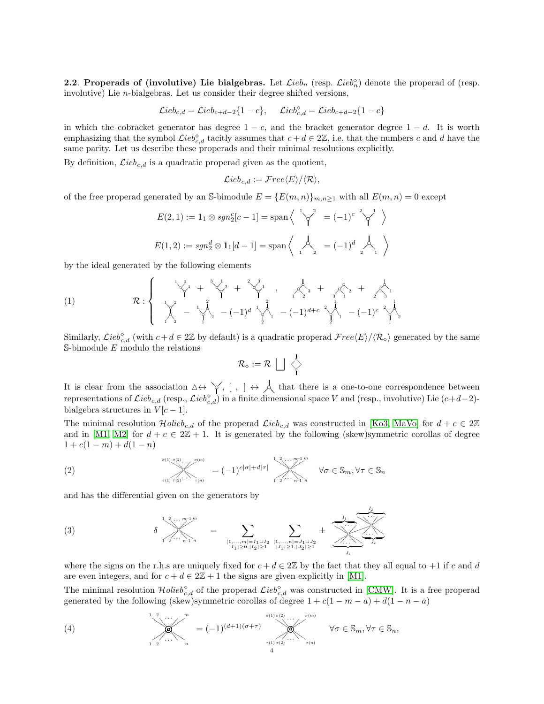2.2. Properads of (involutive) Lie bialgebras. Let  $\mathcal{L}ieb_n$  (resp.  $\mathcal{L}ieb_n^{\diamond}$ ) denote the properad of (resp. involutive) Lie  $n$ -bialgebras. Let us consider their degree shifted versions,

$$
\mathcal{L}ieb_{c,d} = \mathcal{L}ieb_{c+d-2}\{1-c\}, \quad \mathcal{L}ieb_{c,d}^{\diamond} = \mathcal{L}ieb_{c+d-2}\{1-c\}
$$

in which the cobracket generator has degree  $1 - c$ , and the bracket generator degree  $1 - d$ . It is worth emphasizing that the symbol  $\mathcal{L}ieb_{c,d}^{\diamond}$  tacitly assumes that  $c + d \in 2\mathbb{Z}$ , i.e. that the numbers c and d have the same parity. Let us describe these properads and their minimal resolutions explicitly.

By definition,  $\mathcal{L}ieb_{c,d}$  is a quadratic properad given as the quotient,

$$
\mathcal{L}ieb_{c,d} := \mathcal{F}ree \langle E \rangle / \langle \mathcal{R} \rangle,
$$

of the free properad generated by an S-bimodule  $E = \{E(m, n)\}_{m,n\geq 1}$  with all  $E(m, n) = 0$  except

$$
E(2,1) := \mathbf{1}_1 \otimes sgn_2^c[c-1] = \text{span}\left\langle \begin{array}{c} 1 \searrow^2 = (-1)^c \searrow^1 \\ 1 \searrow^2 = (-1)^c \searrow^1 \end{array} \right\rangle
$$
  

$$
E(1,2) := sgn_2^d \otimes \mathbf{1}_1[d-1] = \text{span}\left\langle \begin{array}{c} 1 \searrow 1 \\ 1 \searrow 1 \end{array} \right\rangle = (-1)^d \left\langle \begin{array}{c} 1 \searrow 1 \\ 1 \searrow 1 \end{array} \right\rangle
$$

by the ideal generated by the following elements

(1) 
$$
\mathcal{R}:\left\{\begin{array}{ccc} \sqrt[1]{2} & 1 & \sqrt[3]{2} & 1 \\ \sqrt[3]{2} & 1 & \sqrt[3]{2} & 1 \\ \sqrt[3]{2} & -\sqrt[3]{2} & 1 \end{array}\right. \left\{\begin{array}{ccc} \sqrt[3]{2} & 1 & \sqrt[3]{2} & 1 \\ \sqrt[3]{2} & -\sqrt[3]{2} & 1 \end{array}\right. \left\{\begin{array}{ccc} \sqrt[3]{2} & 1 & \sqrt[3]{2} & 1 \\ \sqrt[3]{2} & -(-1)^d & \sqrt[3]{2} & -(-1)^{d+c} & \sqrt[3]{2} & -(-1)^c & \sqrt[3]{2} \\ 1 & 1 & -(-1)^c & 1 \end{array}\right\}.
$$

Similarly,  $\mathcal{L}ieb_{c,d}^{\diamond}$  (with  $c+d \in 2\mathbb{Z}$  by default) is a quadratic properad  $\mathcal{F}ree\langle E\rangle/\langle R_{\diamond}\rangle$  generated by the same  $S$ -bimodule  $E$  modulo the relations

$$
\mathcal{R}_\diamond:=\mathcal{R}\,\bigsqcup\,\,\bigwedge\limits_1\,\,\bigwedge\limits_1\,\,
$$

It is clear from the association  $\Delta \leftrightarrow \gamma$ ,  $[ , ] \leftrightarrow \lambda$  that there is a one-to-one correspondence between<br>representations of  $\mathcal{L}ieb_{c,d}$  (resp.,  $\mathcal{L}ieb_{c,d}^{\circ}$ ) in a finite dimensional space V and (resp., involutive) bialgebra structures in  $V[c-1]$ .

The minimal resolution  $Holieb_{c,d}$  of the properad  $Lieb_{c,d}$  was constructed in [\[Ko3,](#page-17-7) [MaVo\]](#page-17-8) for  $d+c \in 2\mathbb{Z}$ and in [\[M1,](#page-17-4) [M2\]](#page-17-5) for  $d + c \in 2\mathbb{Z} + 1$ . It is generated by the following (skew)symmetric corollas of degree  $1 + c(1 - m) + d(1 - n)$ 

(2) 
$$
\sum_{\tau(1) \tau(2) \cdots \tau(n)}^{\sigma(1)} \sigma^{(2)} \cdots \sigma^{(m)} = (-1)^{c|\sigma| + d|\tau|} \sum_{1 \leq 2 \cdots \leq n-1}^{1 \leq 2 \cdots m-1 \cdot m} \forall \sigma \in \mathbb{S}_m, \forall \tau \in \mathbb{S}_n
$$

and has the differential given on the generators by

<span id="page-3-1"></span>(3) 
$$
\delta \sum_{1 \ 2 \cdots n-1 \ n}^{1 \ 2 \ldots n-1 \ n} = \sum_{\substack{[1,\ldots,m]=I_1 \sqcup I_2 \\ |I_1| \ge 0, |I_2| \ge 1}} \sum_{\substack{[1,\ldots,n]=J_1 \sqcup J_2 \\ |I_1| \ge 1, |J_2| \ge 1}} \pm \overbrace{\sum_{\substack{1,\ldots,1 \\ J_1}}^{I_1} \cdots \sum_{\substack{I_{j} \ n \ge 1}}^{I_{j}}}
$$

where the signs on the r.h.s are uniquely fixed for  $c + d \in 2\mathbb{Z}$  by the fact that they all equal to +1 if c and d are even integers, and for  $c + d \in 2\mathbb{Z} + 1$  the signs are given explicitly in [\[M1\]](#page-17-4).

 $I<sub>2</sub>$ 

The minimal resolution  $\mathcal{H}olieb_{c,d}^{\diamond}$  of the properad  $\mathcal{L}ieb_{c,d}^{\diamond}$  was constructed in [\[CMW\]](#page-17-6). It is a free properad generated by the following (skew)symmetric corollas of degree  $1 + c(1 - m - a) + d(1 - n - a)$ 

<span id="page-3-0"></span>(4) 
$$
\bigvee_{1 \atop 1} \bigvee_{2 \atop \cdots \atop 1} \bigwedge_{n}^{m} = (-1)^{(d+1)(\sigma+\tau)} \bigotimes_{\tau(1) \atop \tau(2) \atop 4}^{\sigma(1) \atop \sigma(2) \atop \sigma(m)} \forall \sigma \in \mathbb{S}_{m}, \forall \tau \in \mathbb{S}_{n},
$$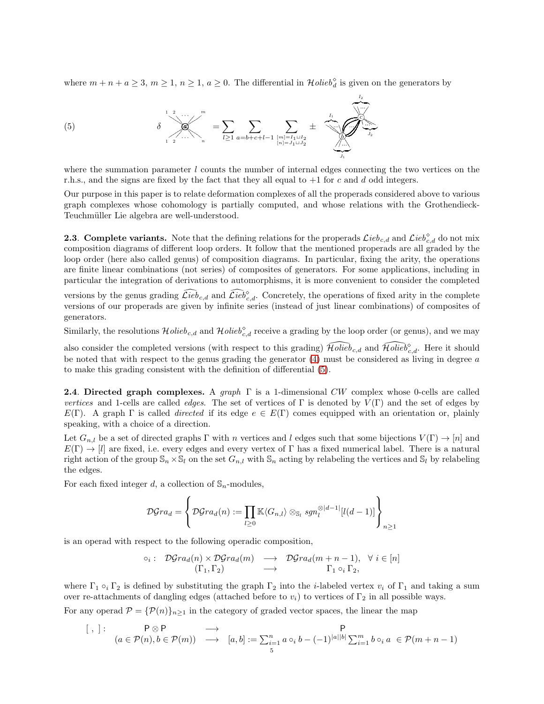where  $m + n + a \geq 3$ ,  $m \geq 1$ ,  $n \geq 1$ ,  $a \geq 0$ . The differential in  $\mathcal{H}olieb_d^{\diamond}$  is given on the generators by

<span id="page-4-0"></span>(5) 
$$
\delta \sum_{1 \ 2 \ \cdots \ n}^{1 \ 2 \ \cdots \ n} = \sum_{l \geq 1} \sum_{a=b+c+l-1} \sum_{\substack{[m]=I_1 \sqcup I_2 \\ [n]=J_1 \sqcup J_2}} \pm \sum_{\substack{l_1 \\ \vdots \\ l_n \\ \vdots \\ l_1}} \frac{l_2}{l_2}
$$

where the summation parameter  $l$  counts the number of internal edges connecting the two vertices on the r.h.s., and the signs are fixed by the fact that they all equal to  $+1$  for c and d odd integers.

Our purpose in this paper is to relate deformation complexes of all the properads considered above to various graph complexes whose cohomology is partially computed, and whose relations with the Grothendieck-Teuchmüller Lie algebra are well-understood.

**2.3. Complete variants.** Note that the defining relations for the properads  $\mathcal{L}ieb_{c,d}$  and  $\mathcal{L}ieb_{c,d}^{\circ}$  do not mix composition diagrams of different loop orders. It follow that the mentioned properads are all graded by the loop order (here also called genus) of composition diagrams. In particular, fixing the arity, the operations are finite linear combinations (not series) of composites of generators. For some applications, including in particular the integration of derivations to automorphisms, it is more convenient to consider the completed

versions by the genus grading  $\widehat{\mathcal{L}ieb}_{c,d}$  and  $\widehat{\mathcal{L}ieb}_{c,d}$ . Concretely, the operations of fixed arity in the complete versions of our properads are given by infinite series (instead of just linear combinations) of composites of generators.

Similarly, the resolutions  $\mathcal{H}olieb_{c,d}$  and  $\mathcal{H}olieb_{c,d}^{\diamond}$  receive a grading by the loop order (or genus), and we may

also consider the completed versions (with respect to this grading)  $\widehat{Holieb}_{c,d}$  and  $\widehat{Holieb}_{c,d}^{\diamond}$ . Here it should be noted that with respect to the genus grading the generator  $(4)$  must be considered as living in degree  $a$ to make this grading consistent with the definition of differential [\(5\)](#page-4-0).

**2.4. Directed graph complexes.** A graph  $\Gamma$  is a 1-dimensional CW complex whose 0-cells are called vertices and 1-cells are called *edges*. The set of vertices of Γ is denoted by  $V(\Gamma)$  and the set of edges by  $E(\Gamma)$ . A graph  $\Gamma$  is called *directed* if its edge  $e \in E(\Gamma)$  comes equipped with an orientation or, plainly speaking, with a choice of a direction.

Let  $G_{n,l}$  be a set of directed graphs  $\Gamma$  with n vertices and l edges such that some bijections  $V(\Gamma) \to [n]$  and  $E(\Gamma) \to [l]$  are fixed, i.e. every edges and every vertex of  $\Gamma$  has a fixed numerical label. There is a natural right action of the group  $\mathbb{S}_n \times \mathbb{S}_l$  on the set  $G_{n,l}$  with  $\mathbb{S}_n$  acting by relabeling the vertices and  $\mathbb{S}_l$  by relabeling the edges.

For each fixed integer d, a collection of  $\mathbb{S}_n$ -modules,

$$
\mathcal{D} \mathcal{G} r a_d = \left\{ \mathcal{D} \mathcal{G} r a_d(n) := \prod_{l \geq 0} \mathbb{K} \langle G_{n,l} \rangle \otimes_{\mathbb{S}_l} sgn_l^{\otimes |d-1|}[l(d-1)] \right\}_{n \geq 1}
$$

is an operad with respect to the following operadic composition,

$$
\circ_i: \mathcal{D}^{c} \mathcal{G}^{r} a_d(n) \times \mathcal{D}^{c} \mathcal{G}^{r} a_d(m) \longrightarrow \mathcal{D}^{c} \mathcal{G}^{r} a_d(m+n-1), \forall i \in [n]
$$
  

$$
(\Gamma_1, \Gamma_2) \longrightarrow \Gamma_1 \circ_i \Gamma_2,
$$

where  $\Gamma_1 \circ_i \Gamma_2$  is defined by substituting the graph  $\Gamma_2$  into the *i*-labeled vertex  $v_i$  of  $\Gamma_1$  and taking a sum over re-attachments of dangling edges (attached before to  $v_i$ ) to vertices of  $\Gamma_2$  in all possible ways.

For any operad  $\mathcal{P} = {\{\mathcal{P}(n)\}}_{n\geq 1}$  in the category of graded vector spaces, the linear the map

$$
[ , ]: \qquad P \otimes P \qquad \longrightarrow \qquad P
$$
  

$$
(a \in \mathcal{P}(n), b \in \mathcal{P}(m)) \qquad \longrightarrow \qquad [a, b] := \sum_{i=1}^{n} a \circ_i b - (-1)^{|a||b|} \sum_{i=1}^{m} b \circ_i a \in \mathcal{P}(m+n-1)
$$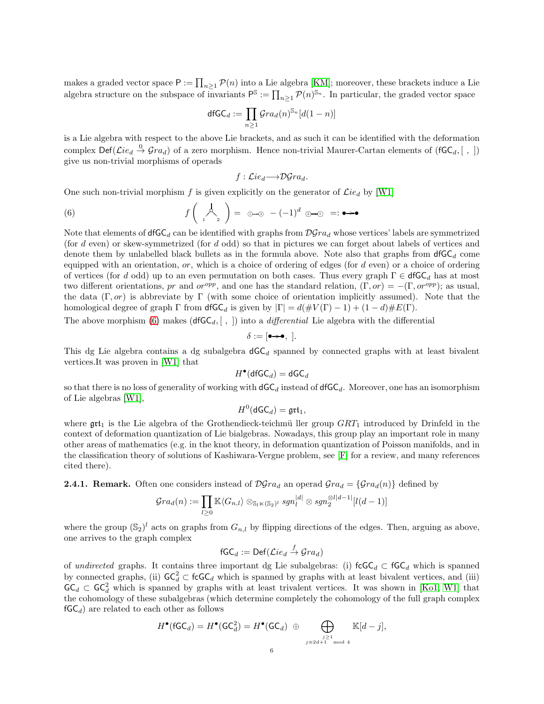makes a graded vector space  $P := \prod_{n\geq 1} \mathcal{P}(n)$  into a Lie algebra [\[KM\]](#page-17-12); moreover, these brackets induce a Lie algebra structure on the subspace of invariants  $P^{\mathbb{S}} := \prod_{n \geq 1} \mathcal{P}(n)^{\mathbb{S}_n}$ . In particular, the graded vector space

$$
\mathsf{dfGC}_d:=\prod_{n\geq 1}\mathcal{G}ra_d(n)^{\mathbb{S}_n}[d(1-n)]
$$

is a Lie algebra with respect to the above Lie brackets, and as such it can be identified with the deformation complex  $\text{Def}(\mathcal{L}ie_d \overset{0}{\to} \mathcal{G}ra_d)$  of a zero morphism. Hence non-trivial Maurer-Cartan elements of  $(\mathsf{fGC}_d, [ , ])$ give us non-trivial morphisms of operads

<span id="page-5-0"></span>
$$
f: \mathcal{L}ie_d \longrightarrow \mathcal{D}grad.
$$

One such non-trivial morphism f is given explicitly on the generator of  $\mathcal{L}ie_d$  by [\[W1\]](#page-18-3)

(6) 
$$
f\left(\bigwedge_{1} \bigwedge_{2} \right) = \oplus_{1} \oplus \oplus_{2} (-1)^{d} \oplus \oplus \oplus_{1} =: \bullet \rightarrow \bullet
$$

Note that elements of  $d\mathsf{fGC}_d$  can be identified with graphs from  $\mathcal{D}grad$  whose vertices' labels are symmetrized (for d even) or skew-symmetrized (for d odd) so that in pictures we can forget about labels of vertices and denote them by unlabelled black bullets as in the formula above. Note also that graphs from  $d\mathsf{fGC}_d$  come equipped with an orientation, or, which is a choice of ordering of edges (for  $d$  even) or a choice of ordering of vertices (for d odd) up to an even permutation on both cases. Thus every graph  $\Gamma \in \mathsf{dfGC}_d$  has at most two different orientations, pr and or  $^{opp}$ , and one has the standard relation,  $(\Gamma, or) = -(\Gamma, or^{opp})$ ; as usual, the data  $(\Gamma, or)$  is abbreviate by  $\Gamma$  (with some choice of orientation implicitly assumed). Note that the homological degree of graph  $\Gamma$  from  $\mathsf{dfGC}_d$  is given by  $|\Gamma| = d(\#V(\Gamma) - 1) + (1 - d)\#E(\Gamma)$ .

The above morphism [\(6\)](#page-5-0) makes (dfGC<sub>d</sub>, [, ]) into a *differential* Lie algebra with the differential

$$
\delta := [\bullet \rightarrow \bullet, \;].
$$

This dg Lie algebra contains a dg subalgebra  $dGC_d$  spanned by connected graphs with at least bivalent vertices.It was proven in [\[W1\]](#page-18-3) that

$$
H^{\bullet}(\mathsf{dfGC}_d) = \mathsf{dGC}_d
$$

so that there is no loss of generality of working with  $\mathsf{dGC}_d$  instead of  $\mathsf{dfGC}_d$ . Moreover, one has an isomorphism of Lie algebras [\[W1\]](#page-18-3),

$$
H^0(\mathsf{dGC}_d)=\mathfrak{grt}_1,
$$

where  $\text{grt}_1$  is the Lie algebra of the Grothendieck-teichmü ller group  $GRT_1$  introduced by Drinfeld in the context of deformation quantization of Lie bialgebras. Nowadays, this group play an important role in many other areas of mathematics (e.g. in the knot theory, in deformation quantization of Poisson manifolds, and in the classification theory of solutions of Kashiwara-Vergne problem, see [\[F\]](#page-17-13) for a review, and many references cited there).

**2.4.1. Remark.** Often one considers instead of  $\mathcal{D}Gra_d$  an operad  $Gra_d = \{Gra_d(n)\}\$  defined by

$$
{\mathcal G} r a_d(n) := \prod_{l \geq 0} {\mathbb K} \langle G_{n,l} \rangle \otimes_{{\mathbb S}_l \ltimes ({\mathbb S}_2)^l} sgn_l^{|d|} \otimes sgn_2^{\otimes l|d-1|}[l(d-1)]
$$

where the group  $(\mathbb{S}_2)^l$  acts on graphs from  $G_{n,l}$  by flipping directions of the edges. Then, arguing as above, one arrives to the graph complex

$$
\mathsf{fGC}_d := \mathsf{Def}(\mathcal{L}ie_d \xrightarrow{f} \mathcal{G}ra_d)
$$

of undirected graphs. It contains three important dg Lie subalgebras: (i)  $\mathsf{fcGC}_d \subset \mathsf{fGC}_d$  which is spanned by connected graphs, (ii)  $\mathsf{GC}_{d}^{2} \subset \mathsf{fcGC}_{d}$  which is spanned by graphs with at least bivalent vertices, and (iii)  $\mathsf{GC}_d \subset \mathsf{GC}_d^2$  which is spanned by graphs with at least trivalent vertices. It was shown in [\[Ko1,](#page-17-14) [W1\]](#page-18-3) that the cohomology of these subalgebras (which determine completely the cohomology of the full graph complex  $fGC_d$ ) are related to each other as follows

$$
H^{\bullet}(\mathsf{fGC}_d) = H^{\bullet}(\mathsf{GC}_d^2) = H^{\bullet}(\mathsf{GC}_d) \oplus \bigoplus_{\substack{j \geq 1 \\ j \equiv 2d+1 \mod 4}} \mathbb{K}[d-j],
$$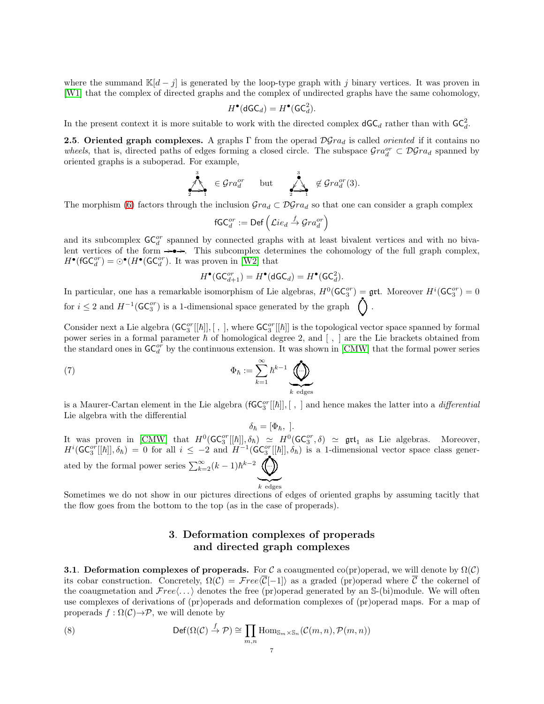where the summand  $\mathbb{K}[d-j]$  is generated by the loop-type graph with j binary vertices. It was proven in [\[W1\]](#page-18-3) that the complex of directed graphs and the complex of undirected graphs have the same cohomology,

$$
H^{\bullet}(\mathsf{dGC}_d) = H^{\bullet}(\mathsf{GC}_d^2).
$$

In the present context it is more suitable to work with the directed complex  $\mathsf{dGC}_d$  rather than with  $\mathsf{GC}_d^2$ .

**2.5. Oriented graph complexes.** A graphs Γ from the operad  $\mathcal{D}Gra_d$  is called *oriented* if it contains no wheels, that is, directed paths of edges forming a closed circle. The subspace  $\mathcal{G}ra_d^{or} \subset \mathcal{D}\mathcal{G}ra_d$  spanned by oriented graphs is a suboperad. For example,

$$
\sum_{2^{n-1}}^3 \in \mathcal{G}ra_d^{or} \quad \text{but} \quad \sum_{2^{n-1}}^3 \notin \mathcal{G}ra_d^{or}(3).
$$

The morphism [\(6\)](#page-5-0) factors through the inclusion  $\mathcal{G}ra_d \subset \mathcal{D}\mathcal{G}ra_d$  so that one can consider a graph complex

$$
\mathsf{fGC}^{or}_d := \mathsf{Def}\left(\mathcal{L}ie_d \stackrel{f}{\to} \mathcal{G}ra^{or}_d\right)
$$

and its subcomplex  $\mathsf{GC}_{d}^{or}$  spanned by connected graphs with at least bivalent vertices and with no bivalent vertices of the form  $\rightarrow \rightarrow \rightarrow$ . This subcomplex determines the cohomology of the full graph complex,  $H^{\bullet}(\mathsf{fGC}_{d}^{or}) = \odot^{\bullet}(H^{\bullet}(\mathsf{GC}_{d}^{or}).$  It was proven in [\[W2\]](#page-18-4) that

$$
H^{\bullet}(\mathsf{GC}_{d+1}^{or}) = H^{\bullet}(\mathsf{dGC}_d) = H^{\bullet}(\mathsf{GC}_d^2).
$$

In particular, one has a remarkable isomorphism of Lie algebras,  $H^0(\mathsf{GC}_3^{or}) = \mathfrak{grt}$ . Moreover  $H^i(\mathsf{GC}_3^{or}) = 0$ for  $i \leq 2$  and  $H^{-1}(\mathsf{GC}_3^{or})$  is a 1-dimensional space generated by the graph •  $\langle \rangle$ .

Consider next a Lie algebra  $(\mathsf{GC}_3^{or}[[\hbar]], [ , ],$  where  $\mathsf{GC}_3^{or}[[\hbar]]$  is the topological vector space spanned by formal power series in a formal parameter  $\hbar$  of homological degree 2, and  $[ , ]$  are the Lie brackets obtained from the standard ones in  $\mathsf{GC}_d^{or}$  by the continuous extension. It was shown in [\[CMW\]](#page-17-6) that the formal power series

(7) 
$$
\Phi_{\hbar} := \sum_{k=1}^{\infty} \hbar^{k-1} \underbrace{\bigoplus_{k \text{ edges}}
$$

is a Maurer-Cartan element in the Lie algebra  $(\mathsf{fGC}_3^{or}[[\hbar]], [ , ]$  and hence makes the latter into a *differential* Lie algebra with the differential

<span id="page-6-2"></span> $\delta_{\hbar} = [\Phi_{\hbar},]$ .

It was proven in [\[CMW\]](#page-17-6) that  $H^0(\mathsf{GC}_3^{or}[[\hbar]], \delta_{\hbar}) \simeq H^0(\mathsf{GC}_3^{or}, \delta) \simeq \mathfrak{grt}_1$  as Lie algebras. Moreover,  $H^{i}(\mathsf{GC}_{3}^{or}[[\hbar]], \delta_{\hbar}) = 0$  for all  $i \leq -2$  and  $H^{-1}(\mathsf{GC}_{3}^{or}[[\hbar]], \delta_{\hbar})$  is a 1-dimensional vector space class generated by the formal power series  $\sum_{k=2}^{\infty} (k-1)\hbar^{k-2}$  ... •  $\ddot{\phantom{1}}$  $\sum_{k \text{ edges}}$ 

Sometimes we do not show in our pictures directions of edges of oriented graphs by assuming tacitly that the flow goes from the bottom to the top (as in the case of properads).

# <span id="page-6-0"></span>3. Deformation complexes of properads and directed graph complexes

<span id="page-6-1"></span>**3.1. Deformation complexes of properads.** For C a coaugmented co(pr)operad, we will denote by  $\Omega(\mathcal{C})$ its cobar construction. Concretely,  $\Omega(C) = \mathcal{F}ree(\overline{C}[-1])$  as a graded (pr)operad where  $\overline{C}$  the cokernel of the coaugmetation and  $Free(\ldots)$  denotes the free (pr)operad generated by an S-(bi)module. We will often use complexes of derivations of (pr)operads and deformation complexes of (pr)operad maps. For a map of properads  $f : \Omega(\mathcal{C}) \rightarrow \mathcal{P}$ , we will denote by

(8) 
$$
\operatorname{Def}(\Omega(\mathcal{C}) \stackrel{f}{\to} \mathcal{P}) \cong \prod_{m,n} \operatorname{Hom}_{\mathbb{S}_m \times \mathbb{S}_n}(\mathcal{C}(m,n), \mathcal{P}(m,n))
$$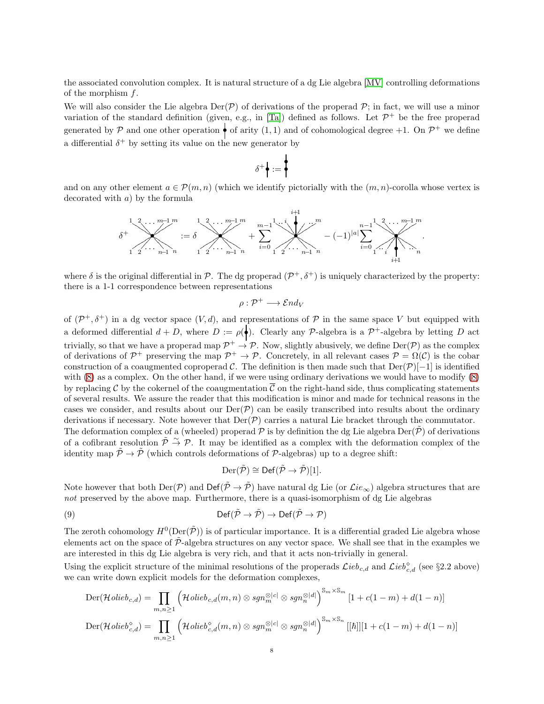the associated convolution complex. It is natural structure of a dg Lie algebra [\[MV\]](#page-18-6) controlling deformations of the morphism  $f$ .

We will also consider the Lie algebra  $\text{Der}(\mathcal{P})$  of derivations of the properad  $\mathcal{P}$ ; in fact, we will use a minor variation of the standard definition (given, e.g., in [\[Ta\]](#page-18-7)) defined as follows. Let  $\mathcal{P}^+$  be the free properad generated by P and one other operation  $\bullet$  of arity  $(1,1)$  and of cohomological degree +1. On  $\mathcal{P}^+$  we define a differential  $\delta^+$  by setting its value on the new generator by

$$
\delta^+ \biggl\| := \biggl\{
$$

and on any other element  $a \in \mathcal{P}(m,n)$  (which we identify pictorially with the  $(m, n)$ -corolla whose vertex is decorated with a) by the formula



where  $\delta$  is the original differential in  $\mathcal{P}$ . The dg properad  $(\mathcal{P}^+, \delta^+)$  is uniquely characterized by the property: there is a 1-1 correspondence between representations

$$
\rho: \mathcal{P}^+ \longrightarrow \mathcal{E} nd_V
$$

of  $(\mathcal{P}^+, \delta^+)$  in a dg vector space  $(V, d)$ , and representations of  $\mathcal P$  in the same space V but equipped with a deformed differential  $d + D$ , where  $D := \rho(\bullet)$ . Clearly any P-algebra is a  $\mathcal{P}^+$ -algebra by letting D act trivially, so that we have a properad map  $\mathcal{P}^+ \to \mathcal{P}$ . Now, slightly abusively, we define  $\text{Der}(\mathcal{P})$  as the complex of derivations of  $\mathcal{P}^+$  preserving the map  $\mathcal{P}^+ \to \mathcal{P}$ . Concretely, in all relevant cases  $\mathcal{P} = \Omega(\mathcal{C})$  is the cobar construction of a coaugmented coproperad C. The definition is then made such that  $\text{Der}(\mathcal{P})[-1]$  is identified with [\(8\)](#page-6-0) as a complex. On the other hand, if we were using ordinary derivations we would have to modify [\(8\)](#page-6-0) by replacing C by the cokernel of the coaugmentation  $\overline{\mathcal{C}}$  on the right-hand side, thus complicating statements of several results. We assure the reader that this modification is minor and made for technical reasons in the cases we consider, and results about our  $\text{Der}(\mathcal{P})$  can be easily transcribed into results about the ordinary derivations if necessary. Note however that  $Der(\mathcal{P})$  carries a natural Lie bracket through the commutator. The deformation complex of a (wheeled) properad  $\mathcal P$  is by definition the dg Lie algebra Der( $\tilde{\mathcal P}$ ) of derivations of a cofibrant resolution  $\tilde{\mathcal{P}} \stackrel{\sim}{\rightarrow} \mathcal{P}$ . It may be identified as a complex with the deformation complex of the identity map  $\tilde{\mathcal{P}} \to \tilde{\mathcal{P}}$  (which controls deformations of  $\mathcal{P}$ -algebras) up to a degree shift:

<span id="page-7-0"></span>
$$
\mathrm{Der}(\tilde{\mathcal{P}}) \cong \mathrm{Def}(\tilde{\mathcal{P}} \to \tilde{\mathcal{P}})[1].
$$

Note however that both  $\text{Der}(\mathcal{P})$  and  $\text{Def}(\tilde{\mathcal{P}} \to \tilde{\mathcal{P}})$  have natural dg Lie (or  $\mathcal{L}ie_{\infty}$ ) algebra structures that are not preserved by the above map. Furthermore, there is a quasi-isomorphism of dg Lie algebras

(9) 
$$
\mathrm{Def}(\tilde{\mathcal{P}} \to \tilde{\mathcal{P}}) \to \mathrm{Def}(\tilde{\mathcal{P}} \to \mathcal{P})
$$

The zeroth cohomology  $H^0(\mathrm{Der}(\tilde{\mathcal{P}}))$  is of particular importance. It is a differential graded Lie algebra whose elements act on the space of  $\tilde{\mathcal{P}}$ -algebra structures on any vector space. We shall see that in the examples we are interested in this dg Lie algebra is very rich, and that it acts non-trivially in general.

Using the explicit structure of the minimal resolutions of the properads  $\mathcal{L}ieb_{c,d}$  and  $\mathcal{L}ieb_{c,d}^{\diamond}$  (see §2.2 above) we can write down explicit models for the deformation complexes,

$$
\begin{split} \text{Der}(\mathcal{H}\text{olieb}_{c,d}) &= \prod_{m,n\geq 1} \left( \mathcal{H}\text{olieb}_{c,d}(m,n) \otimes \text{sgn}_{m}^{\otimes |c|} \otimes \text{sgn}_{n}^{\otimes |d|} \right)^{\mathbb{S}_{m} \times \mathbb{S}_{m}} \left[ 1 + c(1-m) + d(1-n) \right] \\ \text{Der}(\mathcal{H}\text{olieb}_{c,d}^{\diamond}) &= \prod_{m,n\geq 1} \left( \mathcal{H}\text{olieb}_{c,d}^{\diamond}(m,n) \otimes \text{sgn}_{m}^{\otimes |c|} \otimes \text{sgn}_{n}^{\otimes |d|} \right)^{\mathbb{S}_{m} \times \mathbb{S}_{n}} \left[ [ \hbar ] \right] \left[ 1 + c(1-m) + d(1-n) \right] \end{split}
$$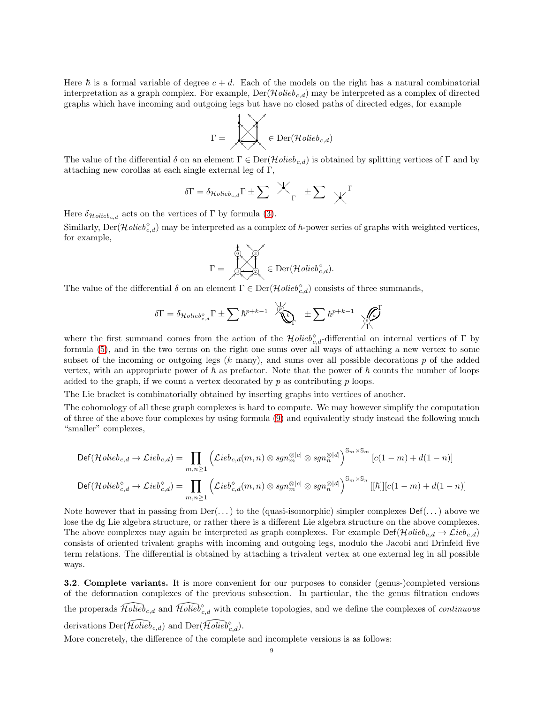Here  $\hbar$  is a formal variable of degree  $c + d$ . Each of the models on the right has a natural combinatorial interpretation as a graph complex. For example,  $Der(\mathcal{H}olieb_{c,d})$  may be interpreted as a complex of directed graphs which have incoming and outgoing legs but have no closed paths of directed edges, for example

$$
\Gamma = \bigotimes_{\mathcal{C}} \mathcal{C} = \mathrm{Der}(\mathcal{H}\mathit{olieb}_{c,d})
$$

The value of the differential  $\delta$  on an element  $\Gamma \in \text{Der}(\mathcal{H}olieb_{c,d})$  is obtained by splitting vertices of  $\Gamma$  and by attaching new corollas at each single external leg of Γ,

$$
\delta\Gamma = \delta_{\mathcal{H}\text{olieb}_{c,d}}\Gamma \pm \sum \mathcal{K}_{\Gamma} \pm \sum \mathcal{K}^{\Gamma}
$$

Here  $\delta_{\mathcal{H}\text{olieb}_{c,d}}$  acts on the vertices of  $\Gamma$  by formula [\(3\)](#page-3-1).

Similarly,  $\text{Der}(\mathcal{H}\text{olieb}_{c,d}^{\diamond})$  may be interpreted as a complex of  $\hbar$ -power series of graphs with weighted vertices, for example, \_ OO

$$
\Gamma = \bigotimes^\frac{1}{2} \bigotimes^\infty_{2\leq \ell \leq 2} \in \mathrm{Der}(\mathcal{H}\mathit{olieb}^\diamond_{c,d}).
$$

The value of the differential  $\delta$  on an element  $\Gamma \in \text{Der}(\mathcal{H}olieb_{c,d}^{\diamond})$  consists of three summands,

$$
\delta \Gamma = \delta_{\mathcal{H}\mathit{olieb}^\diamond_{c,d}} \Gamma \pm \sum \hbar^{p+k-1} \underbrace{\overset{\backslash p}{\text{min}}}_{\Gamma} \pm \sum \hbar^{p+k-1} \underbrace{\overset{\backslash p}{\text{min}}}_{\text{max}}
$$

where the first summand comes from the action of the  $\mathcal{H}olie b_{c,d}^{\diamond}$ -differential on internal vertices of  $\Gamma$  by formula [\(5\)](#page-4-0), and in the two terms on the right one sums over all ways of attaching a new vertex to some subset of the incoming or outgoing legs  $(k \text{ many})$ , and sums over all possible decorations p of the added vertex, with an appropriate power of  $\hbar$  as prefactor. Note that the power of  $\hbar$  counts the number of loops added to the graph, if we count a vertex decorated by  $p$  as contributing  $p$  loops.

The Lie bracket is combinatorially obtained by inserting graphs into vertices of another.

The cohomology of all these graph complexes is hard to compute. We may however simplify the computation of three of the above four complexes by using formula [\(9\)](#page-7-0) and equivalently study instead the following much "smaller" complexes,

$$
\begin{aligned} \operatorname{Def}(\mathcal{H}\mathit{olieb}_{c,d} \rightarrow \mathcal{L}\mathit{ieb}_{c,d}) & = \prod_{m,n \geq 1} \Big( \mathcal{L}\mathit{ieb}_{c,d}(m,n) \otimes \mathit{sgn}_{m}^{\otimes |c|} \otimes \mathit{sgn}_{n}^{\otimes |d|} \Big)^{\mathbb{S}_{m} \times \mathbb{S}_{m}} \left[ c(1-m) + d(1-n) \right] \\ \operatorname{Def}(\mathcal{H}\mathit{olieb}_{c,d}^{\diamond} \rightarrow \mathcal{L}\mathit{ieb}_{c,d}^{\diamond}) & = \prod_{m,n \geq 1} \Big( \mathcal{L}\mathit{ieb}_{c,d}^{\diamond}(m,n) \otimes \mathit{sgn}_{m}^{\otimes |c|} \otimes \mathit{sgn}_{n}^{\otimes |d|} \Big)^{\mathbb{S}_{m} \times \mathbb{S}_{n}} \left[ [\hbar] \right] \left[ c(1-m) + d(1-n) \right] \end{aligned}
$$

Note however that in passing from  $Der(\ldots)$  to the (quasi-isomorphic) simpler complexes  $Def(\ldots)$  above we lose the dg Lie algebra structure, or rather there is a different Lie algebra structure on the above complexes. The above complexes may again be interpreted as graph complexes. For example  $\text{Def}(\mathcal{H}olieb_{c,d} \to \mathcal{L}ieb_{c,d})$ consists of oriented trivalent graphs with incoming and outgoing legs, modulo the Jacobi and Drinfeld five term relations. The differential is obtained by attaching a trivalent vertex at one external leg in all possible ways.

3.2. Complete variants. It is more convenient for our purposes to consider (genus-)completed versions of the deformation complexes of the previous subsection. In particular, the the genus filtration endows the properads  $\widehat{Holie}_{c,d}$  and  $\widehat{Holie}_{c,d}^{\diamond}$  with complete topologies, and we define the complexes of *continuous* derivations  $\text{Der}(\widehat{Holieb}_{c,d})$  and  $\text{Der}(\widehat{Holieb}^{\diamond}_{c,d})$ .

More concretely, the difference of the complete and incomplete versions is as follows: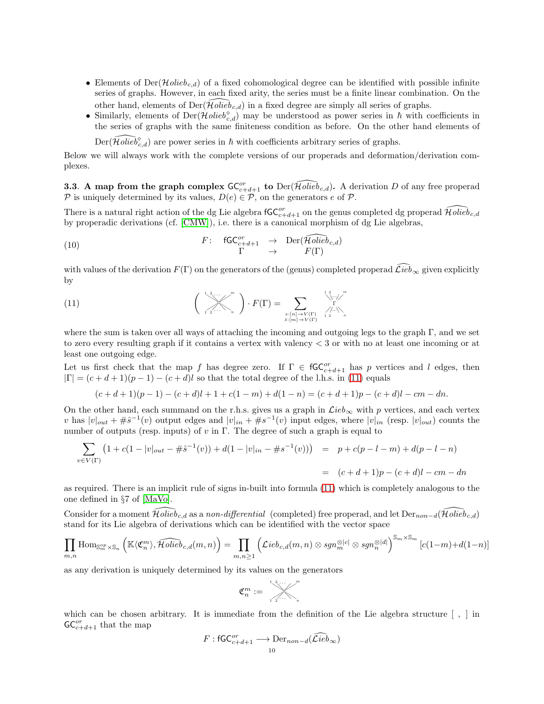- Elements of  $Der(\mathcal{H}olieb_{c,d})$  of a fixed cohomological degree can be identified with possible infinite series of graphs. However, in each fixed arity, the series must be a finite linear combination. On the other hand, elements of  $Der(\mathcal{H}olieb_{c,d})$  in a fixed degree are simply all series of graphs.
- Similarly, elements of  $Der(\mathcal{H}\text{olieb}_{c,d}^{\diamond})$  may be understood as power series in  $\hbar$  with coefficients in the series of graphs with the same finiteness condition as before. On the other hand elements of

 $\widehat{Der}(\widehat{Holieb}^{\diamond}_{c,d})$  are power series in  $\hbar$  with coefficients arbitrary series of graphs.

Below we will always work with the complete versions of our properads and deformation/derivation complexes.

<span id="page-9-0"></span>**3.3.** A map from the graph complex  $\mathsf{GC}_{c+d+1}^{or}$  to  $\widehat{D}$  erg  $\widehat{Holeb}_{c,d}$ . A derivation D of any free properad P is uniquely determined by its values,  $D(e) \in \mathcal{P}$ , on the generators e of  $\mathcal{P}$ .

There is a natural right action of the dg Lie algebra  $\mathsf{fGC}_{c+d+1}^{or}$  on the genus completed dg properad  $\widehat{\mathcal{H}\text{olieb}}_{c,d}$ by properadic derivations (cf. [\[CMW\]](#page-17-6)), i.e. there is a canonical morphism of dg Lie algebras,

<span id="page-9-2"></span>(10) 
$$
F: \quad \mathsf{fGC}_{c+d+1}^{or} \quad \to \quad \mathrm{Der}(\widehat{\mathcal{H}\text{olieb}}_{c,d})
$$
\n
$$
\Gamma \quad \to \quad \Gamma(\Gamma)
$$

with values of the derivation  $F(\Gamma)$  on the generators of the (genus) completed properad  $\mathcal{L}ie\bar{b}_{\infty}$  given explicitly by

<span id="page-9-1"></span>(11) 
$$
\left(\bigvee_{1\leq i\leq n}\bigvee_{n=1}^{n}\right)\cdot F(\Gamma)=\sum_{\substack{s:\lfloor n\rfloor\rightarrow V(\Gamma)\\ \hat{s}:\lfloor m\rfloor\rightarrow V(\Gamma)\\ \hat{s}:\lfloor m\rfloor\rightarrow V(\Gamma)}}\bigvee_{1\leq i\leq n}\bigvee_{n=1}^{n}\bigvee_{n=1}^{n}\bigvee_{n=1}^{n}\bigvee_{n=1}^{n}\bigvee_{n=1}^{n}\bigvee_{n=1}^{n}\bigvee_{n=1}^{n}\bigvee_{n=1}^{n}\bigvee_{n=1}^{n}\bigvee_{n=1}^{n}\bigvee_{n=1}^{n}\bigvee_{n=1}^{n}\bigvee_{n=1}^{n}\bigvee_{n=1}^{n}\bigvee_{n=1}^{n}\bigvee_{n=1}^{n}\bigvee_{n=1}^{n}\bigvee_{n=1}^{n}\bigvee_{n=1}^{n}\bigvee_{n=1}^{n}\bigvee_{n=1}^{n}\bigvee_{n=1}^{n}\bigvee_{n=1}^{n}\bigvee_{n=1}^{n}\bigvee_{n=1}^{n}\bigvee_{n=1}^{n}\bigvee_{n=1}^{n}\bigvee_{n=1}^{n}\bigvee_{n=1}^{n}\bigvee_{n=1}^{n}\bigvee_{n=1}^{n}\bigvee_{n=1}^{n}\bigvee_{n=1}^{n}\bigvee_{n=1}^{n}\bigvee_{n=1}^{n}\bigvee_{n=1}^{n}\bigvee_{n=1}^{n}\bigvee_{n=1}^{n}\bigvee_{n=1}^{n}\bigvee_{n=1}^{n}\bigvee_{n=1}^{n}\bigvee_{n=1}^{n}\bigvee_{n=1}^{n}\bigvee_{n=1}^{n}\bigvee_{n=1}^{n}\bigvee_{n=1}^{n}\bigvee_{n=1}^{n}\bigvee_{n=1}^{n}\bigvee_{n=1}^{n}\bigvee_{n=1}^{n}\bigvee_{n=1}^{n}\bigvee_{n=1}^{n}\bigvee_{n=1}^{n}\bigvee_{n=1}^{n}\bigvee_{n=1}^{n}\bigvee_{n=1}^{n}\bigvee_{n=1}^{n}\bigvee_{n=1}^{n}\bigvee_{n=1}^{n}\
$$

where the sum is taken over all ways of attaching the incoming and outgoing legs to the graph  $\Gamma$ , and we set to zero every resulting graph if it contains a vertex with valency < 3 or with no at least one incoming or at least one outgoing edge.

Let us first check that the map f has degree zero. If  $\Gamma \in \mathsf{fGC}_{c+d+1}^{or}$  has p vertices and l edges, then  $|\Gamma| = (c+d+1)(p-1) - (c+d)l$  so that the total degree of the l.h.s. in [\(11\)](#page-9-1) equals

$$
(c+d+1)(p-1)-(c+d)l+1+c(1-m)+d(1-n)=(c+d+1)p-(c+d)l-cm-dn.
$$

On the other hand, each summand on the r.h.s. gives us a graph in  $\mathcal{L}ieb_{\infty}$  with p vertices, and each vertex v has  $|v|_{out} + \#\hat{s}^{-1}(v)$  output edges and  $|v|_{in} + \#s^{-1}(v)$  input edges, where  $|v|_{in}$  (resp.  $|v|_{out}$ ) counts the number of outputs (resp. inputs) of  $v$  in  $\Gamma$ . The degree of such a graph is equal to

$$
\sum_{v \in V(\Gamma)} (1 + c(1 - |v|_{out} - #\hat{s}^{-1}(v)) + d(1 - |v|_{in} - #s^{-1}(v))) = p + c(p - l - m) + d(p - l - n)
$$
  
=  $(c + d + 1)p - (c + d)l - cm - dn$ 

as required. There is an implicit rule of signs in-built into formula [\(11\)](#page-9-1) which is completely analogous to the one defined in §7 of [\[MaVo\]](#page-17-8).

Consider for a moment  $\tilde{\mathcal{H}}$ olie $\tilde{b}_{c,d}$  as a non-differential (completed) free properad, and let  $Der_{non-d}(\tilde{\mathcal{H}}olieb_{c,d})$ stand for its Lie algebra of derivations which can be identified with the vector space

$$
\prod_{m,n} \text{Hom}_{\mathbb{S}_{m}^{op} \times \mathbb{S}_{n}} \left( \mathbb{K}\langle \mathfrak{C}_{n}^{m} \rangle, \widehat{\mathcal{H}\text{olieb}}_{c,d}(m,n) \right) = \prod_{m,n \geq 1} \left( \mathcal{L}ieb_{c,d}(m,n) \otimes sgn_{m}^{\otimes |c|} \otimes sgn_{n}^{\otimes |d|} \right)^{\mathbb{S}_{m} \times \mathbb{S}_{m}} [c(1-m)+d(1-n)]
$$

as any derivation is uniquely determined by its values on the generators

$$
\mathfrak{C}_n^m:=\overbrace{\scriptscriptstyle\begin{array}{c}1\,\,2\,\ldots\,\,\\ \scriptscriptstyle1\,\,2\,\ldots\,\,\\ \scriptscriptstyle n\end{array}}^{\scriptscriptstyle m}
$$

which can be chosen arbitrary. It is immediate from the definition of the Lie algebra structure  $\lceil , \rceil$  in  $\mathsf{GC}_{c+d+1}^{or}$  that the map

$$
F: \mathsf{fGC}_{c+d+1}^{or} \longrightarrow \mathrm{Der}_{non-d}(\widehat{\mathcal{L}ieb}_{\infty})
$$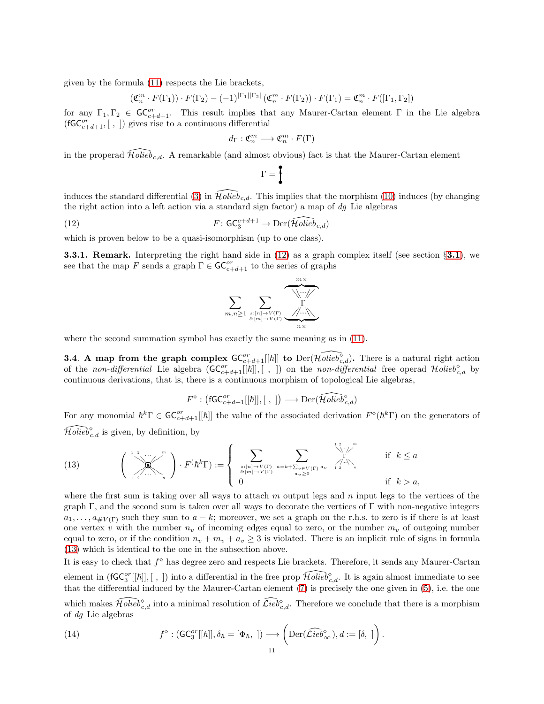given by the formula [\(11\)](#page-9-1) respects the Lie brackets,

$$
(\mathfrak{C}_n^m \cdot F(\Gamma_1)) \cdot F(\Gamma_2) - (-1)^{|\Gamma_1||\Gamma_2|} (\mathfrak{C}_n^m \cdot F(\Gamma_2)) \cdot F(\Gamma_1) = \mathfrak{C}_n^m \cdot F([\Gamma_1, \Gamma_2])
$$

for any  $\Gamma_1, \Gamma_2 \in \mathsf{GC}_{c+d+1}^{or}$ . This result implies that any Maurer-Cartan element  $\Gamma$  in the Lie algebra  $(\mathsf{fGC}_{c+d+1}^{or}, [ , ])$  gives rise to a continuous differential

$$
d_{\Gamma}: \mathfrak{C}_n^m \longrightarrow \mathfrak{C}_n^m \cdot F(\Gamma)
$$

in the properad  $Holieb_{c,d}$ . A remarkable (and almost obvious) fact is that the Maurer-Cartan element

$$
\Gamma = \biggl\{
$$

induces the standard differential [\(3\)](#page-3-1) in  $\tilde{H}olie\tilde{b}_{c,d}$ . This implies that the morphism [\(10\)](#page-9-2) induces (by changing the right action into a left action via a standard sign factor) a map of  $dg$  Lie algebras

(12) 
$$
F: \mathsf{GC}_{3}^{c+d+1} \to \mathrm{Der}(\widehat{\mathcal{H}\text{olieb}}_{c,d})
$$

which is proven below to be a quasi-isomorphism (up to one class).

**3.[3.1](#page-6-1). Remark.** Interpreting the right hand side in  $(12)$  as a graph complex itself (see section §3.1), we see that the map F sends a graph  $\Gamma \in \mathsf{GC}_{c+d+1}^{or}$  to the series of graphs

<span id="page-10-0"></span>

where the second summation symbol has exactly the same meaning as in  $(11)$ .

**3.4.** A map from the graph complex  $\mathsf{GC}_{c+d+1}^{or}[[\hbar]]$  to  $\widehat{Der}(\widehat{\mathcal{H}\text{olieb}_{c,d}^{\diamond}})$ . There is a natural right action of the non-differential Lie algebra  $(\mathsf{GC}_{c+d+1}^{or}[[\hbar]], [ , ])$  on the non-differential free operad  $\mathcal{H}olie b_{c,d}^{\diamond}$  by continuous derivations, that is, there is a continuous morphism of topological Lie algebras,

$$
F^{\diamond} : (\mathsf{fGC}_{c+d+1}^{or}[[\hbar]], [~,~]) \longrightarrow \mathrm{Der}(\widehat{\mathcal{H}\mathit{olieb}}_{c,d}^{\diamond})
$$

For any monomial  $\hbar^k \Gamma \in \mathsf{GC}_{c+d+1}^{or}[[\hbar]]$  the value of the associated derivation  $F^{\diamond}(\hbar^k \Gamma)$  on the generators of  $\widehat{Hol}^{\diamond}_{c,d}$  is given, by definition, by

<span id="page-10-1"></span>(13) 
$$
\begin{pmatrix} 1 & 2 & \cdots & m \\ \vdots & \ddots & \vdots & \vdots \\ 1 & 2 & \cdots & n \end{pmatrix} \cdot F(k^{k}\Gamma) := \begin{cases} \sum_{\substack{s:[n] \to V(\Gamma) \\ \delta:[m] \to V(\Gamma)}} \sum_{a=k+\sum_{v \in V(\Gamma)} a_v} \prod_{\substack{u \in V(\Gamma) \\ u_v \ge 0}}^{\sum_{v \in V(\Gamma)} u_v} \text{ if } k \le a \\ 0 & \text{if } k > a, \end{cases}
$$

where the first sum is taking over all ways to attach  $m$  output legs and  $n$  input legs to the vertices of the graph  $\Gamma$ , and the second sum is taken over all ways to decorate the vertices of  $\Gamma$  with non-negative integers  $a_1, \ldots, a_{\# V(\Gamma)}$  such they sum to  $a - k$ ; moreover, we set a graph on the r.h.s. to zero is if there is at least one vertex v with the number  $n_v$  of incoming edges equal to zero, or the number  $m_v$  of outgoing number equal to zero, or if the condition  $n_v + m_v + a_v \geq 3$  is violated. There is an implicit rule of signs in formula [\(13\)](#page-10-1) which is identical to the one in the subsection above.

It is easy to check that  $f^{\diamond}$  has degree zero and respects Lie brackets. Therefore, it sends any Maurer-Cartan element in (fGC<sup>or</sup>[[h]], [, ]) into a differential in the free prop  $\widehat{Holieb}^\diamond_{c,d}$ . It is again almost immediate to see that the differential induced by the Maurer-Cartan element [\(7\)](#page-6-2) is precisely the one given in [\(5\)](#page-4-0), i.e. the one which makes  $\widehat{Holieb}^{\diamond}_{c,d}$  into a minimal resolution of  $\widehat{\mathcal{L}ieb}^{\diamond}_{c,d}$ . Therefore we conclude that there is a morphism of dg Lie algebras

(14) 
$$
f^{\diamond} : (\mathsf{GC}_{3}^{or}[[\hbar]], \delta_{\hbar} = [\Phi_{\hbar},]) \longrightarrow \left(\mathrm{Der}(\widehat{\mathcal{L}ieb}_{\infty}^{\diamond}), d := [\delta, ]\right).
$$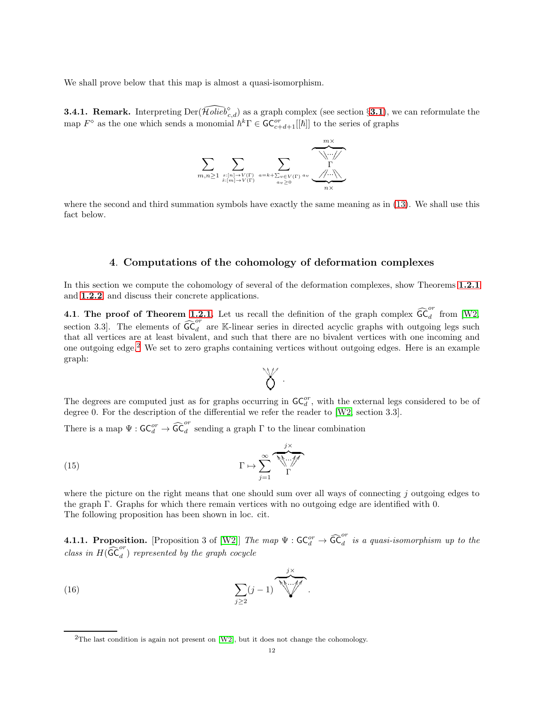We shall prove below that this map is almost a quasi-isomorphism.

**3.4.1. Remark.** Interpreting  $\text{Der}(\widehat{\text{Holieb}}_{c,d}^{\diamond})$  as a graph complex (see section §**[3.1](#page-6-1)**), we can reformulate the map  $F^{\diamond}$  as the one which sends a monomial  $\hbar^k \Gamma \in \mathsf{GC}_{c+d+1}^{or}[[\hbar]]$  to the series of graphs



where the second and third summation symbols have exactly the same meaning as in [\(13\)](#page-10-1). We shall use this fact below.

# 4. Computations of the cohomology of deformation complexes

In this section we compute the cohomology of several of the deformation complexes, show Theorems [1.2.1](#page-1-1) and [1.2.2](#page-1-2), and discuss their concrete applications.

4.1. The proof of Theorem [1.2.1.](#page-1-1) Let us recall the definition of the graph complex  $\widehat{\mathsf{GC}}_d^{\sigma r}$  from [\[W2,](#page-18-4) section 3.3]. The elements of  $\widehat{\mathsf{GC}}_{d}^{or}$  $\frac{d}{d}$  are K-linear series in directed acyclic graphs with outgoing legs such that all vertices are at least bivalent, and such that there are no bivalent vertices with one incoming and one outgoing edge.[2](#page-11-0) We set to zero graphs containing vertices without outgoing edges. Here is an example graph:



The degrees are computed just as for graphs occurring in  $\mathsf{GC}_d^{or}$ , with the external legs considered to be of degree 0. For the description of the differential we refer the reader to [\[W2,](#page-18-4) section 3.3].

There is a map  $\Psi : \mathsf{GC}_d^{or} \to \widehat{\mathsf{GC}}_d^{or}$ d sending a graph  $\Gamma$  to the linear combination

(15) 
$$
\Gamma \mapsto \sum_{j=1}^{\infty} \underbrace{\overbrace{\text{N} \cdots \text{N}}^{j \times}}_{\Gamma}
$$

where the picture on the right means that one should sum over all ways of connecting  $j$  outgoing edges to the graph Γ. Graphs for which there remain vertices with no outgoing edge are identified with 0. The following proposition has been shown in loc. cit.

<span id="page-11-1"></span>**4.1.1. Proposition.** [Proposition 3 of [\[W2\]](#page-18-4)] The map  $\Psi : \mathsf{GC}_d^{or} \to \widehat{\mathsf{GC}}_d^{or}$  $\frac{d}{dt}$  is a quasi-isomorphism up to the class in  $H(\widehat{\textsf{GC}}_{d}^{or})$  represented by the graph cocycle

(16) 
$$
\sum_{j\geq 2} (j-1) \underbrace{\sum_{j\geq 2} (j-1)}.
$$

<span id="page-11-0"></span><sup>&</sup>lt;sup>2</sup>The last condition is again not present on [\[W2\]](#page-18-4), but it does not change the cohomology.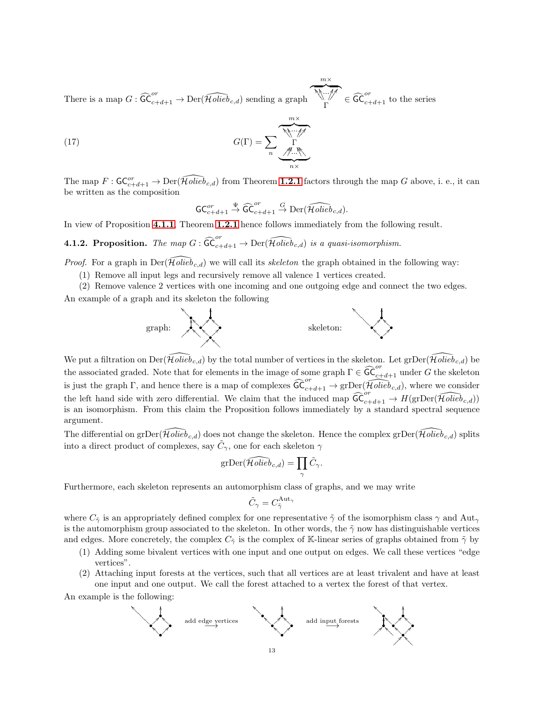There is a map  $G: \widehat{\mathsf{GC}}_{c+d+1}^{or} \to \mathrm{Der}(\widehat{\mathcal{H}\mathit{olieb}}_{c,d})$  sending a graph  $m\times$  $\overline{M...M}$ Γ V✲ ✲ ✲ ✑ ✑ ✑ HH .<br>.  $^{\prime}$  $\overline{\mathcal{C}}_{c+d+1}^{or}$  to the series

(17) 
$$
G(\Gamma) = \sum_{n} \underbrace{\overbrace{\mathcal{M} \cdots \mathcal{M}}^{m \times}}_{n \times m}.
$$

The map  $F: \mathsf{GC}_{c+d+1}^{or} \to \mathrm{Der}(\widehat{\mathcal{H}\text{olieb}}_{c,d})$  from Theorem [1.2.1](#page-1-1) factors through the map G above, i. e., it can be written as the composition

$$
\mathsf{GC}_{c+d+1}^{or} \stackrel{\Psi}{\to} \widehat{\mathsf{GC}}_{c+d+1}^{or} \stackrel{G}{\to} \mathrm{Der}(\widehat{\mathcal{H}\mathit{olieb}}_{c,d}).
$$

<span id="page-12-0"></span>In view of Proposition [4.1.1](#page-11-1), Theorem [1.2.1](#page-1-1) hence follows immediately from the following result.

**4.1.2. Proposition.** The map  $G : \widehat{\mathsf{GC}}_{c+d+1}^{or} \to \mathrm{Der}(\widehat{\mathcal{H}\mathit{olieb}}_{c,d})$  is a quasi-isomorphism.

*Proof.* For a graph in  $Der(\widehat{Holied}_{c,d})$  we will call its skeleton the graph obtained in the following way:

- (1) Remove all input legs and recursively remove all valence 1 vertices created.
- (2) Remove valence 2 vertices with one incoming and one outgoing edge and connect the two edges.

An example of a graph and its skeleton the following



We put a filtration on  $\text{Der}(\tilde{\mathcal{H}}olieb_{c,d})$  by the total number of vertices in the skeleton. Let gr $\text{Der}(\tilde{\mathcal{H}}olieb_{c,d})$  be the associated graded. Note that for elements in the image of some graph  $\Gamma \in \widehat{\mathrm{GC}}_{c+d+1}^{or}$  under G the skeleton is just the graph Γ, and hence there is a map of complexes  $\widehat{\mathsf{GC}}_{c+d+1}^{or} \to \text{grDer}(\widehat{\mathcal{H}\text{olieb}}_{c,d})$ , where we consider the left hand side with zero differential. We claim that the induced map  $\widehat{\mathsf{GC}}_{c+d+1}^{or} \to H(\text{grDer}(\widehat{\mathcal{H}\text{olieb}}_{c,d}))$ is an isomorphism. From this claim the Proposition follows immediately by a standard spectral sequence argument.

The differential on grDer( $\tilde{\mathcal{H}}$ olie $\tilde{b}_{c,d}$ ) does not change the skeleton. Hence the complex grDer( $\tilde{\mathcal{H}}$ olie $\tilde{b}_{c,d}$ ) splits into a direct product of complexes, say  $\tilde{C}_{\gamma}$ , one for each skeleton  $\gamma$ 

$$
\mathrm{grDer}(\widehat{\mathcal{H}\mathit{olieb}}_{c,d}) = \prod_{\gamma} \tilde{C}_{\gamma}.
$$

Furthermore, each skeleton represents an automorphism class of graphs, and we may write

$$
\tilde{C}_{\gamma} = C_{\tilde{\gamma}}^{\rm Aut_{\gamma}}
$$

where  $C_{\tilde{\gamma}}$  is an appropriately defined complex for one representative  $\tilde{\gamma}$  of the isomorphism class  $\gamma$  and Aut<sub>γ</sub> is the automorphism group associated to the skeleton. In other words, the  $\tilde{\gamma}$  now has distinguishable vertices and edges. More concretely, the complex  $C_{\tilde{\gamma}}$  is the complex of K-linear series of graphs obtained from  $\tilde{\gamma}$  by

- (1) Adding some bivalent vertices with one input and one output on edges. We call these vertices "edge vertices".
- (2) Attaching input forests at the vertices, such that all vertices are at least trivalent and have at least one input and one output. We call the forest attached to a vertex the forest of that vertex.

An example is the following:

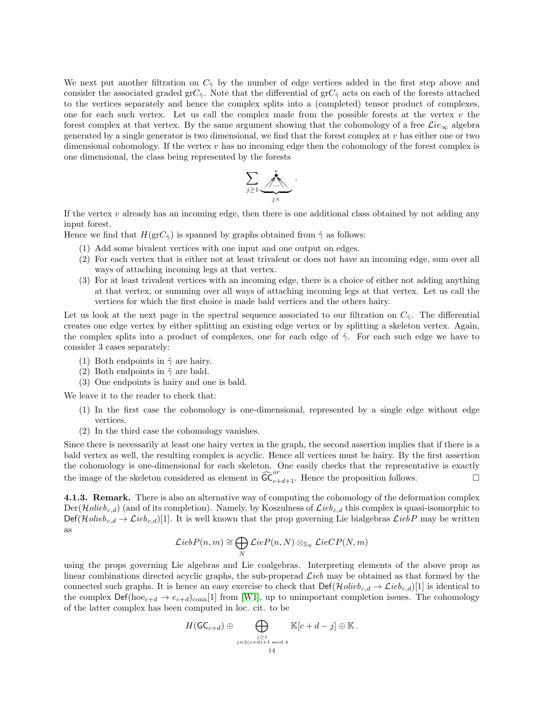We next put another filtration on  $C_{\tilde{\gamma}}$  by the number of edge vertices added in the first step above and consider the associated graded grC<sub>γ</sub>. Note that the differential of grC<sub>γ</sub> acts on each of the forests attached to the vertices separately and hence the complex splits into a (completed) tensor product of complexes, one for each such vertex. Let us call the complex made from the possible forests at the vertex  $v$  the forest complex at that vertex. By the same argument showing that the cohomology of a free  $\mathcal{L}ie_{\infty}$  algebra generated by a single generator is two dimensional, we find that the forest complex at v has either one or two dimensional cohomology. If the vertex  $v$  has no incoming edge then the cohomology of the forest complex is one dimensional, the class being represented by the forests

$$
\sum_{j\geq 1}\underbrace{\qquad \qquad}_{j\times}^{\qquad \qquad \ \ \, \bullet}.
$$

If the vertex  $v$  already has an incoming edge, then there is one additional class obtained by not adding any input forest.

Hence we find that  $H(\text{gr}C_{\tilde{\gamma}})$  is spanned by graphs obtained from  $\tilde{\gamma}$  as follows:

- (1) Add some bivalent vertices with one input and one output on edges.
- (2) For each vertex that is either not at least trivalent or does not have an incoming edge, sum over all ways of attaching incoming legs at that vertex.
- (3) For at least trivalent vertices with an incoming edge, there is a choice of either not adding anything at that vertex, or summing over all ways of attaching incoming legs at that vertex. Let us call the vertices for which the first choice is made bald vertices and the others hairy.

Let us look at the next page in the spectral sequence associated to our filtration on  $C_7$ . The differential creates one edge vertex by either splitting an existing edge vertex or by splitting a skeleton vertex. Again, the complex splits into a product of complexes, one for each edge of  $\tilde{\gamma}$ . For each such edge we have to consider 3 cases separately:

- (1) Both endpoints in  $\tilde{\gamma}$  are hairy.
- (2) Both endpoints in  $\tilde{\gamma}$  are bald.
- (3) One endpoints is hairy and one is bald.

We leave it to the reader to check that:

- (1) In the first case the cohomology is one-dimensional, represented by a single edge without edge vertices.
- (2) In the third case the cohomology vanishes.

Since there is necessarily at least one hairy vertex in the graph, the second assertion implies that if there is a bald vertex as well, the resulting complex is acyclic. Hence all vertices must be hairy. By the first assertion the cohomology is one-dimensional for each skeleton. One easily checks that the representative is exactly the image of the skeleton considered as element in  $\widehat{\mathsf{GC}}_{c+d+1}^{or}$ . Hence the proposition follows.

4.1.3. Remark. There is also an alternative way of computing the cohomology of the deformation complex  $Der(\mathcal{H}\text{olieb}_{c,d})$  (and of its completion). Namely, by Koszulness of  $\mathcal{L}\text{ieb}_{c,d}$  this complex is quasi-isomorphic to  $\text{Def}(\mathcal{H}\text{olieb}_{c,d} \rightarrow \mathcal{L}\text{ieb}_{c,d})$ [1]. It is well known that the prop governing Lie bialgebras  $\mathcal{L}\text{ieb}P$  may be written as

$$
\mathcal{L}iebP(n,m) \cong \bigoplus_{N}\mathcal{L}ieP(n,N) \otimes_{\mathbb{S}_N} \mathcal{L}ieCP(N,m)
$$

using the props governing Lie algebras and Lie coalgebras. Interpreting elements of the above prop as linear combinations directed acyclic graphs, the sub-properad  $\mathcal{L}ieb$  may be obtained as that formed by the connected such graphs. It is hence an easy exercise to check that  $\text{Def}(\mathcal{H}\text{olieb}_{c,d} \to \mathcal{L}\text{ieb}_{c,d})[1]$  is identical to the complex  $\text{Def}(\text{hoe}_{c+d} \to e_{c+d})_{\text{conn}}$ [1] from [\[W1\]](#page-18-3), up to unimportant completion issues. The cohomology of the latter complex has been computed in loc. cit. to be

$$
H(\mathsf{GC}_{c+d}) \oplus \bigoplus_{\substack{j\geq 1 \\ j \equiv 2(c+d)+1 \bmod 4}} \mathbb{K}[c+d-j] \oplus \mathbb{K}.
$$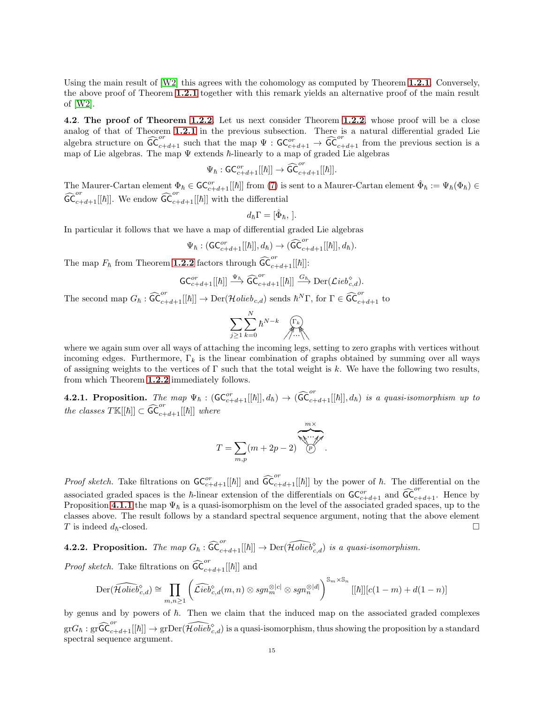Using the main result of [\[W2\]](#page-18-4) this agrees with the cohomology as computed by Theorem [1.2.1](#page-1-1). Conversely, the above proof of Theorem [1.2.1](#page-1-1) together with this remark yields an alternative proof of the main result of [\[W2\]](#page-18-4).

4.2. The proof of Theorem [1.2.2.](#page-1-2) Let us next consider Theorem [1.2.2](#page-1-2), whose proof will be a close analog of that of Theorem [1.2.1](#page-1-1) in the previous subsection. There is a natural differential graded Lie algebra structure on  $\widehat{\mathsf{GC}}_{c+d+1}^{or}$  such that the map  $\Psi$  :  $\mathsf{GC}_{c+d+1}^{or} \to \widehat{\mathsf{GC}}_{c+d+1}^{or}$  from the previous section is a map of Lie algebras. The map  $\Psi$  extends  $\hbar$ -linearly to a map of graded Lie algebras

$$
\Psi_{\hbar}: \mathsf{GC}_{c+d+1}^{or}[[\hbar]]\rightarrow \widehat{\mathsf{GC}}_{c+d+1}^{or}[[\hbar]].
$$

The Maurer-Cartan element  $\Phi_{\hbar} \in \mathsf{GC}_{c+d+1}^{or}[[\hbar]]$  from [\(7\)](#page-6-2) is sent to a Maurer-Cartan element  $\hat{\Phi}_{\hbar} := \Psi_{\hbar}(\Phi_{\hbar}) \in$  $\widehat{\mathsf{GC}}_{c+d+1}^{or}[[\hbar]]$ . We endow  $\widehat{\mathsf{GC}}_{c+d+1}^{or}[[\hbar]]$  with the differential

$$
d_{\hbar}\Gamma=[\hat{\Phi}_{\hbar},].
$$

In particular it follows that we have a map of differential graded Lie algebras

$$
\Psi_{\hbar} : (\mathsf{GC}_{c+d+1}^{or}[[\hbar]], d_{\hbar}) \to (\widehat{\mathsf{GC}}_{c+d+1}^{or}[[\hbar]], d_{\hbar}).
$$

The map  $F_{\hbar}$  from Theorem **[1.2.2](#page-1-2)** factors through  $\widehat{\textsf{GC}}_{c+d+1}^{or}[[\hbar]]$ :

$$
\mathsf{GC}_{c+d+1}^{\mathit{or}}[[\hbar]]\stackrel{\Psi_\hbar}{\longrightarrow}\widehat{\mathsf{GC}}_{c+d+1}^{\mathit{or}}[[\hbar]]\stackrel{G_\hbar}{\longrightarrow}{\rm Der}(\mathcal{L}ieb_{c,d}^{\diamond}).
$$

The second map  $G_{\hbar} : \widehat{\mathsf{GC}}_{c+d+1}^{or}[[\hbar]] \to \mathrm{Der}(\mathcal{H}\mathit{olieb}_{c,d})$  sends  $\hbar^N \Gamma$ , for  $\Gamma \in \widehat{\mathsf{GC}}_{c+d+1}^{or}$  to

$$
\sum_{j\geq 1}\sum_{k=0}^N\hbar^{N-k}\bigcap_{\gamma\ldots\gamma}^{\lceil\Gamma_k\rceil}
$$

where we again sum over all ways of attaching the incoming legs, setting to zero graphs with vertices without incoming edges. Furthermore,  $\Gamma_k$  is the linear combination of graphs obtained by summing over all ways of assigning weights to the vertices of  $\Gamma$  such that the total weight is k. We have the following two results, from which Theorem [1.2.2](#page-1-2) immediately follows.

✻

**4.2.1. Proposition.** The map  $\Psi_{\hbar}$  :  $(\mathsf{GC}_{c+d+1}^{or}[[\hbar]], d_{\hbar}) \to (\widehat{\mathsf{GC}}_{c+d+1}^{or}[[\hbar]], d_{\hbar})$  is a quasi-isomorphism up to the classes  $T\mathbb{K}[[\hbar]] \subset \widehat{\mathsf{GC}}_{c+d+1}^{or}[[\hbar]]$  where

$$
T = \sum_{m,p} (m+2p-2) \underbrace{\underbrace{\underbrace{\underbrace{\underbrace{\cdots \underbrace{\cdots \cdots \cdots}}_{m \times \cdots \times m}}_{p}}_{p}}.
$$

*Proof sketch*. Take filtrations on  $GC^{or}_{c+d+1}[[\hbar]]$  and  $\widehat{GC}^{or}_{c+d+1}[[\hbar]]$  by the power of  $\hbar$ . The differential on the associated graded spaces is the  $\hbar$ -linear extension of the differentials on  $\mathsf{GC}_{c+d+1}^{or}$  and  $\widehat{\mathsf{GC}}_{c+d+1}^{or}$ . Hence by Proposition [4.1.1](#page-11-1) the map  $\Psi_{\hbar}$  is a quasi-isomorphism on the level of the associated graded spaces, up to the classes above. The result follows by a standard spectral sequence argument, noting that the above element T is indeed  $d_h$ -closed.

**4.2.2. Proposition.** The map  $G_{\hbar}$  :  $\widehat{\mathsf{GC}}_{c+d+1}^{or}[[\hbar]] \to \mathrm{Der}(\widehat{\mathcal{H}\mathit{olieb}}_{c,d}^{\diamond})$  is a quasi-isomorphism.

*Proof sketch*. Take filtrations on  $\widehat{\textsf{GC}}_{c+d+1}^{\,or}[[\hbar]]$  and

$$
\mathrm{Der}(\widehat{\mathcal{H}\mathit{olieb}}_{c,d}^{\diamond}) \cong \prod_{m,n \geq 1} \left( \widehat{\mathcal{L}\mathit{ieb}}_{c,d}^{\diamond}(m,n) \otimes \mathit{sgn}_m^{\otimes |c|} \otimes \mathit{sgn}_n^{\otimes |d|} \right)^{\mathbb{S}_m \times \mathbb{S}_n} [[\hbar]][c(1-m) + d(1-n)]
$$

by genus and by powers of  $h$ . Then we claim that the induced map on the associated graded complexes  ${\rm gr}G_{\hbar}:{\rm gr}\widehat{\mathsf{GC}}_{c+d+1}^{or}[[\hbar]]\to {\rm gr}\mathrm{Der}(\widehat{\mathcal{H}\mathit{olieb}}_{c,d}^{\diamond})$  is a quasi-isomorphism, thus showing the proposition by a standard spectral sequence argument.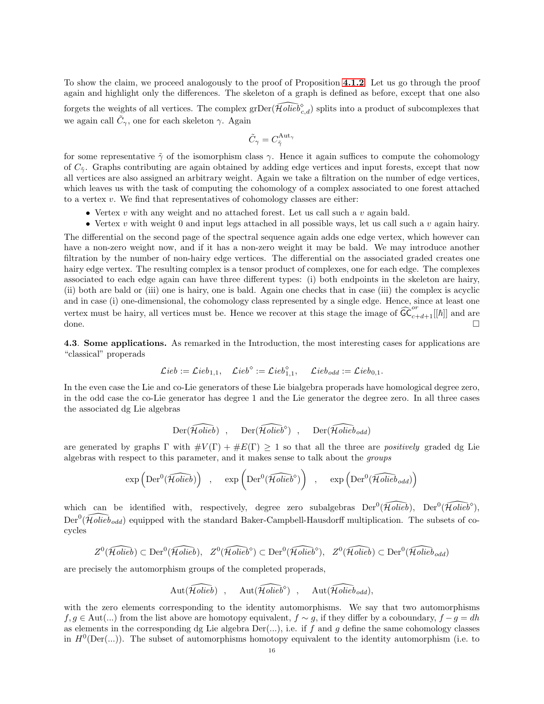To show the claim, we proceed analogously to the proof of Proposition [4.1.2](#page-12-0). Let us go through the proof again and highlight only the differences. The skeleton of a graph is defined as before, except that one also forgets the weights of all vertices. The complex  $\text{grDer}(\widehat{Holieb}^{\diamond}_{c,d})$  splits into a product of subcomplexes that we again call  $\tilde{C}_{\gamma}$ , one for each skeleton  $\gamma$ . Again

$$
\tilde{C}_{\gamma} = C_{\tilde{\gamma}}^{\text{Aut}_{\gamma}}
$$

for some representative  $\tilde{\gamma}$  of the isomorphism class  $\gamma$ . Hence it again suffices to compute the cohomology of  $C_{\tilde{\gamma}}$ . Graphs contributing are again obtained by adding edge vertices and input forests, except that now all vertices are also assigned an arbitrary weight. Again we take a filtration on the number of edge vertices, which leaves us with the task of computing the cohomology of a complex associated to one forest attached to a vertex  $v$ . We find that representatives of cohomology classes are either:

- Vertex  $v$  with any weight and no attached forest. Let us call such a  $v$  again bald.
- Vertex  $v$  with weight 0 and input legs attached in all possible ways, let us call such a  $v$  again hairy.

The differential on the second page of the spectral sequence again adds one edge vertex, which however can have a non-zero weight now, and if it has a non-zero weight it may be bald. We may introduce another filtration by the number of non-hairy edge vertices. The differential on the associated graded creates one hairy edge vertex. The resulting complex is a tensor product of complexes, one for each edge. The complexes associated to each edge again can have three different types: (i) both endpoints in the skeleton are hairy, (ii) both are bald or (iii) one is hairy, one is bald. Again one checks that in case (iii) the complex is acyclic and in case (i) one-dimensional, the cohomology class represented by a single edge. Hence, since at least one vertex must be hairy, all vertices must be. Hence we recover at this stage the image of  $\widetilde{\mathsf{GC}}_{c+d+1}^{\circ r}[[\hbar]]$  and are done.  $\Box$ 

<span id="page-15-0"></span>4.3. Some applications. As remarked in the Introduction, the most interesting cases for applications are "classical" properads

$$
\mathcal{L}ieb:=\mathcal{L}ieb_{1,1},\quad \mathcal{L}ieb^{\diamond}:=\mathcal{L}ieb_{1,1}^{\diamond},\quad \mathcal{L}ieb_{odd}:=\mathcal{L}ieb_{0,1}.
$$

In the even case the Lie and co-Lie generators of these Lie bialgebra properads have homological degree zero, in the odd case the co-Lie generator has degree 1 and the Lie generator the degree zero. In all three cases the associated dg Lie algebras

$$
\text{Der}(\widehat{\mathcal{H}\mathit{olieb}}) \quad , \quad \ \text{Der}(\widehat{\mathcal{H}\mathit{olieb}}^\diamond) \quad , \quad \ \text{Der}(\widehat{\mathcal{H}\mathit{olieb}}_{\mathit{odd}})
$$

are generated by graphs  $\Gamma$  with  $\#V(\Gamma) + \#E(\Gamma) \geq 1$  so that all the three are positively graded dg Lie algebras with respect to this parameter, and it makes sense to talk about the groups

$$
\exp\left( \mathrm{Der}^0(\widehat{\mathcal{H}\mathit{olieb}}) \right) \quad , \quad \exp\left( \mathrm{Der}^0(\widehat{\mathcal{H}\mathit{olieb}}^\circ) \right) \quad , \quad \exp\left( \mathrm{Der}^0(\widehat{\mathcal{H}\mathit{olieb}}_{\mathit{odd}}) \right)
$$

which can be identified with, respectively, degree zero subalgebras  $Der^0(\widehat{Holieb})$ ,  $Der^0(\widehat{Holieb}^{\diamond})$ ,  $\text{Der}^0(\widehat{Holieb}_{odd})$  equipped with the standard Baker-Campbell-Hausdorff multiplication. The subsets of cocycles

$$
Z^0(\widehat{\mathcal{H}\mathit{olieb}})\subset \mathrm{Der}^0(\widehat{\mathcal{H}\mathit{olieb}}),\ \ Z^0(\widehat{\mathcal{H}\mathit{olieb}}{}^\diamond)\subset \mathrm{Der}^0(\widehat{\mathcal{H}\mathit{olieb}}{}^\diamond),\ \ Z^0(\widehat{\mathcal{H}\mathit{olieb}})\subset \mathrm{Der}^0(\widehat{\mathcal{H}\mathit{olieb}}_{\mathit{odd}})
$$

are precisely the automorphism groups of the completed properads,

$$
\mathrm{Aut}(\widehat{\mathcal{H}\mathit{olieb}}) \quad,\quad \mathrm{Aut}(\widehat{\mathcal{H}\mathit{olieb}}{}^\diamond)\quad,\quad \mathrm{Aut}(\widehat{\mathcal{H}\mathit{olieb}}_{\mathit{odd}}),
$$

with the zero elements corresponding to the identity automorphisms. We say that two automorphisms  $f, g \in Aut(...)$  from the list above are homotopy equivalent,  $f \sim g$ , if they differ by a coboundary,  $f - g = dh$ as elements in the corresponding dg Lie algebra  $Der(...)$ , i.e. if f and g define the same cohomology classes in  $H^0(\text{Der}(\ldots))$ . The subset of automorphisms homotopy equivalent to the identity automorphism (i.e. to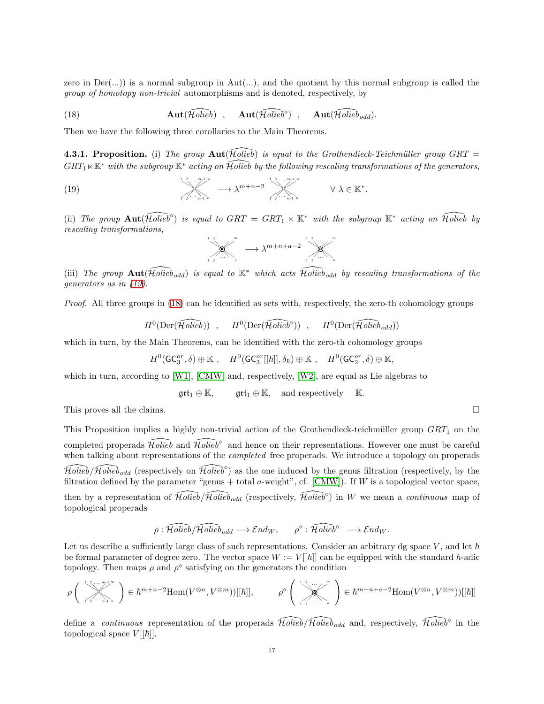zero in  $Der(...)$  is a normal subgroup in Aut $(...)$ , and the quotient by this normal subgroup is called the group of homotopy non-trivial automorphisms and is denoted, respectively, by

<span id="page-16-1"></span>(18) 
$$
\mathbf{Aut}(\widehat{\mathcal{H}\text{olieb}})
$$
,  $\mathbf{Aut}(\widehat{\mathcal{H}\text{olieb}}^{\circ})$ ,  $\mathbf{Aut}(\widehat{\mathcal{H}\text{olieb}}_{\text{odd}})$ .

Then we have the following three corollaries to the Main Theorems.

4.3.1. Proposition. (i) The group  $Aut(\tilde{\mathcal{H}}\text{olie}\tilde{b})$  is equal to the Grothendieck-Teichmüller group GRT =  $GRT_1 \ltimes \mathbb{K}^*$  with the subgroup  $\mathbb{K}^*$  acting on Holieb by the following rescaling transformations of the generators,

(19) 
$$
\qquad \qquad \downarrow \qquad \qquad \downarrow \qquad \qquad \downarrow \qquad \qquad \downarrow \qquad \qquad \downarrow \qquad \qquad \downarrow \qquad \downarrow \qquad \downarrow \qquad \downarrow \qquad \qquad \downarrow \qquad \downarrow \qquad \qquad \downarrow \qquad \qquad \downarrow \qquad \qquad \downarrow \qquad \qquad \downarrow \qquad \qquad \downarrow \qquad \qquad \downarrow \qquad \downarrow \qquad \qquad \downarrow \qquad \downarrow \qquad \qquad \downarrow \qquad \downarrow \qquad \qquad \downarrow \qquad \downarrow \qquad \downarrow \qquad \qquad \downarrow \qquad \downarrow \qquad \downarrow \qquad \qquad \downarrow \qquad \downarrow \qquad \downarrow \qquad \downarrow \qquad \downarrow \qquad \downarrow \qquad \downarrow \qquad \downarrow \qquad \downarrow \qquad \downarrow \qquad \downarrow \qquad \downarrow \qquad \downarrow \qquad \downarrow \qquad \downarrow \qquad \downarrow \qquad \downarrow \qquad \downarrow \qquad \downarrow \qquad \downarrow \qquad \downarrow \qquad \downarrow \qquad \downarrow \qquad \downarrow \qquad \downarrow \qquad \downarrow \qquad \downarrow \qquad \downarrow \qquad \downarrow \qquad \downarrow \qquad \downarrow \qquad \downarrow \qquad \downarrow \qquad \downarrow \qquad \downarrow \qquad \downarrow \qquad \downarrow \qquad \downarrow \qquad \downarrow \qquad \downarrow \qquad \downarrow \qquad \downarrow \qquad \downarrow \qquad \downarrow \qquad \downarrow \qquad \downarrow \qquad \downarrow \qquad \downarrow \qquad \downarrow \qquad \downarrow \qquad \downarrow \qquad \downarrow \qquad \downarrow \qquad \downarrow \qquad \downarrow \qquad \downarrow \qquad \downarrow \qquad \downarrow \qquad \downarrow \qquad \downarrow \qquad \downarrow \qquad \downarrow \qquad \downarrow \qquad \downarrow \qquad \downarrow \qquad \downarrow \qquad \downarrow \qquad \downarrow \qquad \downarrow \qquad \downarrow \qquad \downarrow \qquad \downarrow \qquad \downarrow \qquad \downarrow \qquad \downarrow \qquad \downarrow \qquad \downarrow \qquad \downarrow \qquad \downarrow \qquad \downarrow \qquad \downarrow \qquad \downarrow \qquad \downarrow \qquad \downarrow \qquad \downarrow \qquad \downarrow \qquad \downarrow \qquad \downarrow \qquad \downarrow
$$

(ii) The group  $\text{Aut}(\widehat{\text{Holieb}})$  is equal to  $GRT = GRT_1 \ltimes \mathbb{K}^*$  with the subgroup  $\mathbb{K}^*$  acting on  $\widehat{\text{Holieb}}$  by rescaling transformations,

<span id="page-16-0"></span>

(iii) The group  $\text{Aut}(\tilde{\mathcal{H}}\text{olieb}_{odd})$  is equal to  $\mathbb{K}^*$  which acts  $\tilde{\mathcal{H}}\text{olieb}_{odd}$  by rescaling transformations of the generators as in [\(19\)](#page-16-0).

Proof. All three groups in [\(18\)](#page-16-1) can be identified as sets with, respectively, the zero-th cohomology groups

$$
H^0(\text{Der}(\widehat{\mathcal{H}\text{olieb}})) \quad , \quad H^0(\text{Der}(\widehat{\mathcal{H}\text{olieb}}^{\circ})) \quad , \quad H^0(\text{Der}(\widehat{\mathcal{H}\text{olieb}}_{\text{odd}}))
$$

which in turn, by the Main Theorems, can be identified with the zero-th cohomology groups

$$
H^0(\mathsf{GC}_3^{or},\delta) \oplus \mathbb{K} \ , \quad H^0(\mathsf{GC}_3^{or}[[\hbar]],\delta_{\hbar}) \oplus \mathbb{K} \ , \quad H^0(\mathsf{GC}_2^{or},\delta) \oplus \mathbb{K},
$$

which in turn, according to [\[W1\]](#page-18-3), [\[CMW\]](#page-17-6) and, respectively, [\[W2\]](#page-18-4), are equal as Lie algebras to

$$
\mathfrak{grt}_1\oplus\mathbb{K},\qquad \mathfrak{grt}_1\oplus\mathbb{K},\quad\text{and respectively}\quad\mathbb{K}.
$$

This proves all the claims.

This Proposition implies a highly non-trivial action of the Grothendieck-teichmüller group  $GRT_1$  on the completed properads  $\widehat{Holieb}$  and  $\widehat{Holieb}$ <sup>°</sup> and hence on their representations. However one must be careful when talking about representations of the *completed* free properads. We introduce a topology on properads  $\widehat{Holieb}/\widehat{Holieb}_{odd}$  (respectively on  $\widehat{Holieb}^{\diamond}$ ) as the one induced by the genus filtration (respectively, by the filtration defined by the parameter "genus + total a-weight", cf.  $[CMW]$ ). If W is a topological vector space, then by a representation of  $\widehat{Holieb}/\widehat{Holieb}_{odd}$  (respectively,  $\widehat{Holieb}^{\circ}$ ) in W we mean a *continuous* map of topological properads

$$
\rho: \widehat{\mathcal{H}\text{olieb}}/\widehat{\mathcal{H}\text{olieb}}_{\text{odd}} \longrightarrow \mathcal{E}\text{nd}_W, \qquad \rho^\diamond: \widehat{\mathcal{H}\text{olieb}}^\diamond \longrightarrow \mathcal{E}\text{nd}_W.
$$

Let us describe a sufficiently large class of such representations. Consider an arbitrary dg space V, and let  $\hbar$ be formal parameter of degree zero. The vector space  $W := V[[\hbar]]$  can be equipped with the standard  $\hbar$ -adic topology. Then maps  $\rho$  and  $\rho^{\diamond}$  satisfying on the generators the condition

$$
\rho\left(\sum_{i=1}^{\lfloor\frac{2}{2} \ldots \frac{m-1}{n}\rfloor m}\right) \in \hbar^{m+n-2} \text{Hom}(V^{\otimes n}, V^{\otimes m}))[[\hbar]], \qquad \rho^{\diamond}\left(\sum_{i=1}^{\lfloor\frac{2}{2} \ldots \frac{m}{n}\rfloor m}\right) \in \hbar^{m+n+a-2} \text{Hom}(V^{\otimes n}, V^{\otimes m}))[[\hbar]]
$$

define a *continuous* representation of the properads  $\widehat{Holeb}/\widehat{Holeb}_{odd}$  and, respectively,  $\widehat{Holeb}^{\circ}$  in the topological space  $V[[\hbar]]$ .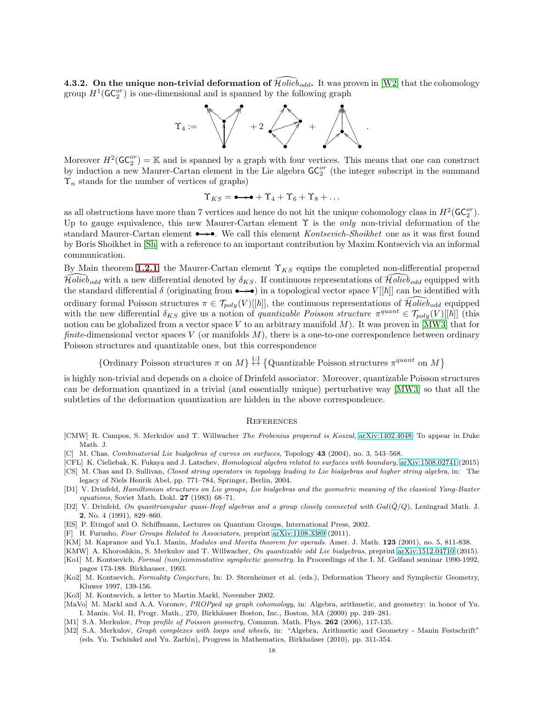**4.3.2.** On the unique non-trivial deformation of  $\widehat{H}\text{olieb}_{odd}$ . It was proven in [\[W2\]](#page-18-4) that the cohomology group  $H^1(\mathsf{GC}_2^{or})$  is one-dimensional and is spanned by the following graph



Moreover  $H^2(\mathsf{GC}_2^{or}) = \mathbb{K}$  and is spanned by a graph with four vertices. This means that one can construct by induction a new Maurer-Cartan element in the Lie algebra  $GC_2^{or}$  (the integer subscript in the summand  $\Upsilon_n$  stands for the number of vertices of graphs)

$$
\Upsilon_{KS} = \bullet \rightarrow \bullet + \Upsilon_4 + \Upsilon_6 + \Upsilon_8 + \dots
$$

as all obstructions have more than 7 vertices and hence do not hit the unique cohomology class in  $H^2(\mathsf{GC}_2^{or})$ . Up to gauge equivalence, this new Maurer-Cartan element  $\Upsilon$  is the *only* non-trivial deformation of the standard Maurer-Cartan element  $\rightarrow \rightarrow$ . We call this element *Kontsevich-Shoikhet* one as it was first found by Boris Shoikhet in [\[Sh\]](#page-18-8) with a reference to an important contribution by Maxim Kontsevich via an informal communication.

By Main theorem [1.2.1](#page-1-1), the Maurer-Cartan element  $\Upsilon_{KS}$  equips the completed non-differential properad  $\widehat{Holied}$  with a new differential denoted by  $\delta_{KS}$ . If continuous representations of  $\widehat{Holied}$  equipped with the standard differential  $\delta$  (originating from  $\rightarrow \rightarrow \bullet$ ) in a topological vector space  $V[[\hbar]]$  can be identified with ordinary formal Poisson structures  $\pi \in \mathcal{T}_{poly}(V)[[\hbar]]$ , the continuous representations of  $\widehat{\mathcal{H}}\text{olieb}_{odd}$  equipped with the new differential  $\delta_{KS}$  give us a notion of quantizable Poisson structure  $\pi^{quant} \in \mathcal{T}_{poly}(V)[[\hbar]]$  (this notion can be globalized from a vector space V to an arbitrary manifold  $M$ ). It was proven in [\[MW3\]](#page-18-5) that for finite-dimensional vector spaces V (or manifolds  $M$ ), there is a one-to-one correspondence between ordinary Poisson structures and quantizable ones, but this correspondence

{Ordinary Poisson structures  $\pi$  on  $M$ }<sup>{1:1}</sup>} {Quantizable Poisson structures  $\pi^{quant}$  on  $M$ }

is highly non-trivial and depends on a choice of Drinfeld associator. Moreover, quantizable Poisson structures can be deformation quantized in a trivial (and essentially unique) perturbative way [\[MW3\]](#page-18-5) so that all the subtleties of the deformation quantization are hidden in the above correspondence.

#### **REFERENCES**

- <span id="page-17-6"></span>[CMW] R. Campos, S. Merkulov and T. Willwacher The Frobenius properad is Koszul, [arXiv:1402.4048.](http://arxiv.org/abs/1402.4048) To appear in Duke Math. J.
- <span id="page-17-2"></span>[C] M. Chas, *Combinatorial Lie bialgebras of curves on surfaces*, Topology 43 (2004), no. 3, 543–568.
- <span id="page-17-3"></span>[CFL] K. Cieliebak, K. Fukaya and J. Latschev, Homological algebra related to surfaces with boundary, [arXiv:1508.02741](http://arxiv.org/abs/1508.02741) (2015)
- [CS] M. Chas and D. Sullivan, Closed string operators in topology leading to Lie bialgebras and higher string algebra, in: The legacy of Niels Henrik Abel, pp. 771–784, Springer, Berlin, 2004.
- <span id="page-17-0"></span>[D1] V. Drinfeld, Hamiltonian structures on Lie groups, Lie bialgebras and the geometric meaning of the classical Yang-Baxter equations, Soviet Math. Dokl. 27 (1983) 68–71.
- <span id="page-17-10"></span>[D2] V. Drinfeld, On quasitriangular quasi-Hopf algebras and a group closely connected with  $Gal(\bar{Q}/Q)$ , Leningrad Math. J. 2, No. 4 (1991), 829–860.
- <span id="page-17-1"></span>[ES] P. Etingof and O. Schiffmann, Lectures on Quantum Groups, International Press, 2002.
- <span id="page-17-13"></span>[F] H. Furusho, Four Groups Related to Associators, preprint [arXiv:1108.3389](http://arxiv.org/abs/1108.3389) (2011).
- <span id="page-17-12"></span>[KM] M. Kapranov and Yu.I. Manin, *Modules and Morita theorem for operads*. Amer. J. Math. 123 (2001), no. 5, 811-838.
- <span id="page-17-11"></span>[KMW] A. Khoroshkin, S. Merkulov and T. Willwacher, On quantizable odd Lie bialgebras, preprint [arXiv:1512.04710](http://arxiv.org/abs/1512.04710) (2015).
- <span id="page-17-14"></span>[Ko1] M. Kontsevich, Formal (non)commutative symplectic geometry. In Proceedings of the I. M. Gelfand seminar 1990-1992, pages 173-188. Birkhauser, 1993.
- <span id="page-17-9"></span>[Ko2] M. Kontsevich, Formality Conjecture, In: D. Sternheimer et al. (eds.), Deformation Theory and Symplectic Geometry, Kluwer 1997, 139-156.
- <span id="page-17-7"></span>[Ko3] M. Kontsevich, a letter to Martin Markl, November 2002.
- <span id="page-17-8"></span>[MaVo] M. Markl and A.A. Voronov, PROPped up graph cohomology, in: Algebra, arithmetic, and geometry: in honor of Yu. I. Manin. Vol. II, Progr. Math., 270, Birkhäuser Boston, Inc., Boston, MA (2009) pp. 249–281.
- <span id="page-17-4"></span>[M1] S.A. Merkulov, Prop profile of Poisson geometry, Commun. Math. Phys. 262 (2006), 117-135.
- <span id="page-17-5"></span>[M2] S.A. Merkulov, Graph complexes with loops and wheels, in: "Algebra, Arithmetic and Geometry - Manin Festschrift" (eds. Yu. Tschinkel and Yu. Zarhin), Progress in Mathematics, Birkha¨user (2010), pp. 311-354.